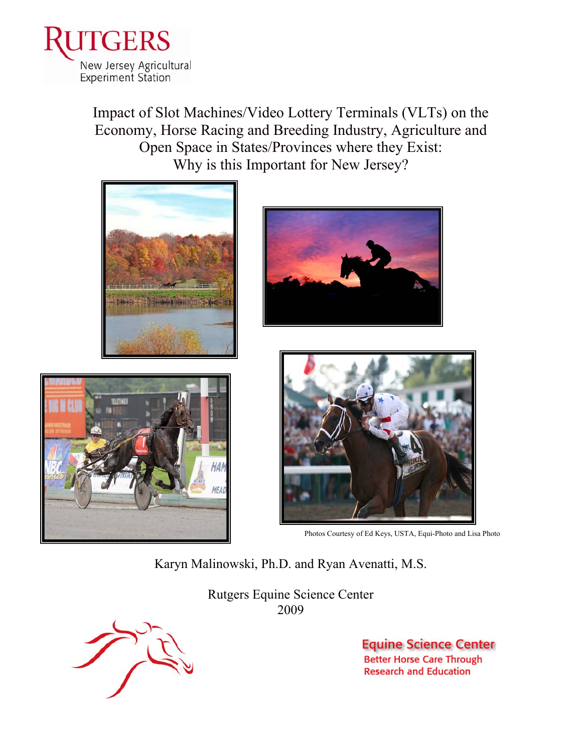

Impact of Slot Machines/Video Lottery Terminals (VLTs) on the Economy, Horse Racing and Breeding Industry, Agriculture and Open Space in States/Provinces where they Exist: Why is this Important for New Jersey?









Photos Courtesy of Ed Keys, USTA, Equi-Photo and Lisa Photo

Karyn Malinowski, Ph.D. and Ryan Avenatti, M.S.

Rutgers Equine Science Center 2009



**Equine Science Center Better Horse Care Through Research and Education**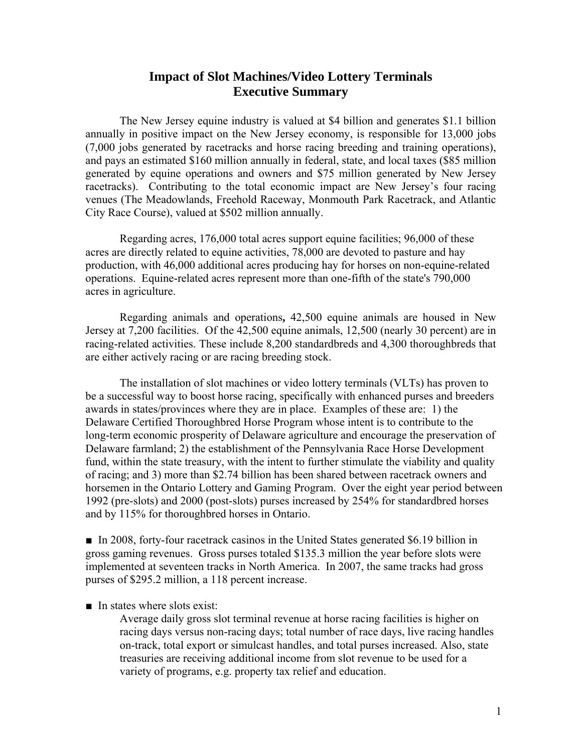## **Impact of Slot Machines/Video Lottery Terminals Executive Summary**

The New Jersey equine industry is valued at \$4 billion and generates \$1.1 billion annually in positive impact on the New Jersey economy, is responsible for 13,000 jobs (7,000 jobs generated by racetracks and horse racing breeding and training operations), and pays an estimated \$160 million annually in federal, state, and local taxes (\$85 million generated by equine operations and owners and \$75 million generated by New Jersey racetracks). Contributing to the total economic impact are New Jersey's four racing venues (The Meadowlands, Freehold Raceway, Monmouth Park Racetrack, and Atlantic City Race Course), valued at \$502 million annually.

Regarding acres, 176,000 total acres support equine facilities; 96,000 of these acres are directly related to equine activities, 78,000 are devoted to pasture and hay production, with 46,000 additional acres producing hay for horses on non-equine-related operations. Equine-related acres represent more than one-fifth of the state's 790,000 acres in agriculture.

Regarding animals and operations**,** 42,500 equine animals are housed in New Jersey at 7,200 facilities. Of the 42,500 equine animals, 12,500 (nearly 30 percent) are in racing-related activities. These include 8,200 standardbreds and 4,300 thoroughbreds that are either actively racing or are racing breeding stock.

The installation of slot machines or video lottery terminals (VLTs) has proven to be a successful way to boost horse racing, specifically with enhanced purses and breeders awards in states/provinces where they are in place. Examples of these are: 1) the Delaware Certified Thoroughbred Horse Program whose intent is to contribute to the long-term economic prosperity of Delaware agriculture and encourage the preservation of Delaware farmland; 2) the establishment of the Pennsylvania Race Horse Development fund, within the state treasury, with the intent to further stimulate the viability and quality of racing; and 3) more than \$2.74 billion has been shared between racetrack owners and horsemen in the Ontario Lottery and Gaming Program. Over the eight year period between 1992 (pre-slots) and 2000 (post-slots) purses increased by 254% for standardbred horses and by 115% for thoroughbred horses in Ontario.

■ In 2008, forty-four racetrack casinos in the United States generated \$6.19 billion in gross gaming revenues. Gross purses totaled \$135.3 million the year before slots were implemented at seventeen tracks in North America. In 2007, the same tracks had gross purses of \$295.2 million, a 118 percent increase.

## $\blacksquare$  In states where slots exist:

Average daily gross slot terminal revenue at horse racing facilities is higher on racing days versus non-racing days; total number of race days, live racing handles on-track, total export or simulcast handles, and total purses increased. Also, state treasuries are receiving additional income from slot revenue to be used for a variety of programs, e.g. property tax relief and education.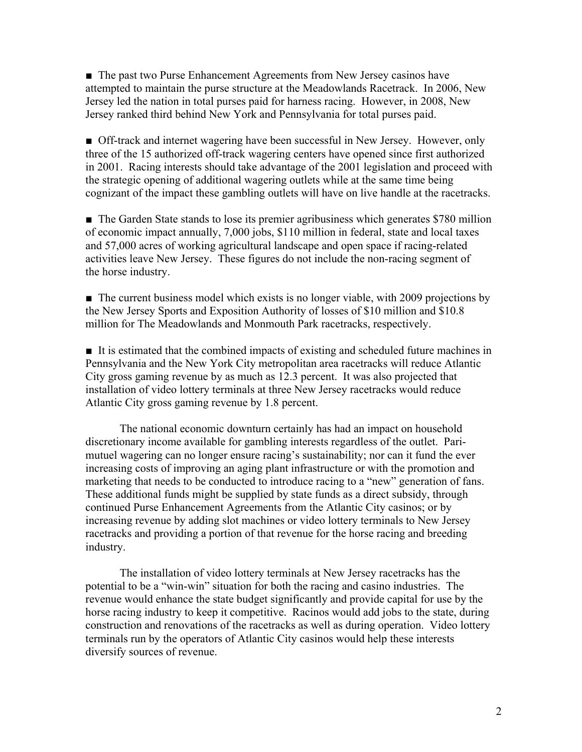■ The past two Purse Enhancement Agreements from New Jersey casinos have attempted to maintain the purse structure at the Meadowlands Racetrack. In 2006, New Jersey led the nation in total purses paid for harness racing. However, in 2008, New Jersey ranked third behind New York and Pennsylvania for total purses paid.

■ Off-track and internet wagering have been successful in New Jersey. However, only three of the 15 authorized off-track wagering centers have opened since first authorized in 2001. Racing interests should take advantage of the 2001 legislation and proceed with the strategic opening of additional wagering outlets while at the same time being cognizant of the impact these gambling outlets will have on live handle at the racetracks.

■ The Garden State stands to lose its premier agribusiness which generates \$780 million of economic impact annually, 7,000 jobs, \$110 million in federal, state and local taxes and 57,000 acres of working agricultural landscape and open space if racing-related activities leave New Jersey. These figures do not include the non-racing segment of the horse industry.

■ The current business model which exists is no longer viable, with 2009 projections by the New Jersey Sports and Exposition Authority of losses of \$10 million and \$10.8 million for The Meadowlands and Monmouth Park racetracks, respectively.

■ It is estimated that the combined impacts of existing and scheduled future machines in Pennsylvania and the New York City metropolitan area racetracks will reduce Atlantic City gross gaming revenue by as much as 12.3 percent. It was also projected that installation of video lottery terminals at three New Jersey racetracks would reduce Atlantic City gross gaming revenue by 1.8 percent.

The national economic downturn certainly has had an impact on household discretionary income available for gambling interests regardless of the outlet. Parimutuel wagering can no longer ensure racing's sustainability; nor can it fund the ever increasing costs of improving an aging plant infrastructure or with the promotion and marketing that needs to be conducted to introduce racing to a "new" generation of fans. These additional funds might be supplied by state funds as a direct subsidy, through continued Purse Enhancement Agreements from the Atlantic City casinos; or by increasing revenue by adding slot machines or video lottery terminals to New Jersey racetracks and providing a portion of that revenue for the horse racing and breeding industry.

The installation of video lottery terminals at New Jersey racetracks has the potential to be a "win-win" situation for both the racing and casino industries. The revenue would enhance the state budget significantly and provide capital for use by the horse racing industry to keep it competitive. Racinos would add jobs to the state, during construction and renovations of the racetracks as well as during operation. Video lottery terminals run by the operators of Atlantic City casinos would help these interests diversify sources of revenue.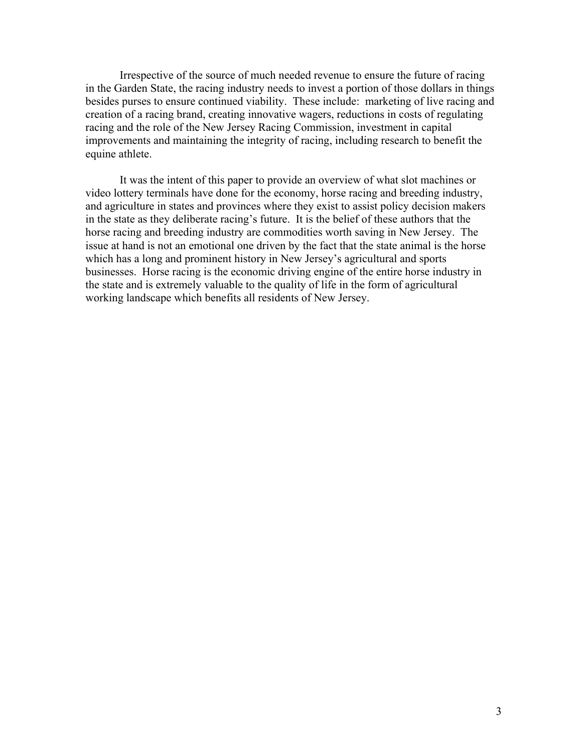Irrespective of the source of much needed revenue to ensure the future of racing in the Garden State, the racing industry needs to invest a portion of those dollars in things besides purses to ensure continued viability. These include: marketing of live racing and creation of a racing brand, creating innovative wagers, reductions in costs of regulating racing and the role of the New Jersey Racing Commission, investment in capital improvements and maintaining the integrity of racing, including research to benefit the equine athlete.

It was the intent of this paper to provide an overview of what slot machines or video lottery terminals have done for the economy, horse racing and breeding industry, and agriculture in states and provinces where they exist to assist policy decision makers in the state as they deliberate racing's future. It is the belief of these authors that the horse racing and breeding industry are commodities worth saving in New Jersey. The issue at hand is not an emotional one driven by the fact that the state animal is the horse which has a long and prominent history in New Jersey's agricultural and sports businesses. Horse racing is the economic driving engine of the entire horse industry in the state and is extremely valuable to the quality of life in the form of agricultural working landscape which benefits all residents of New Jersey.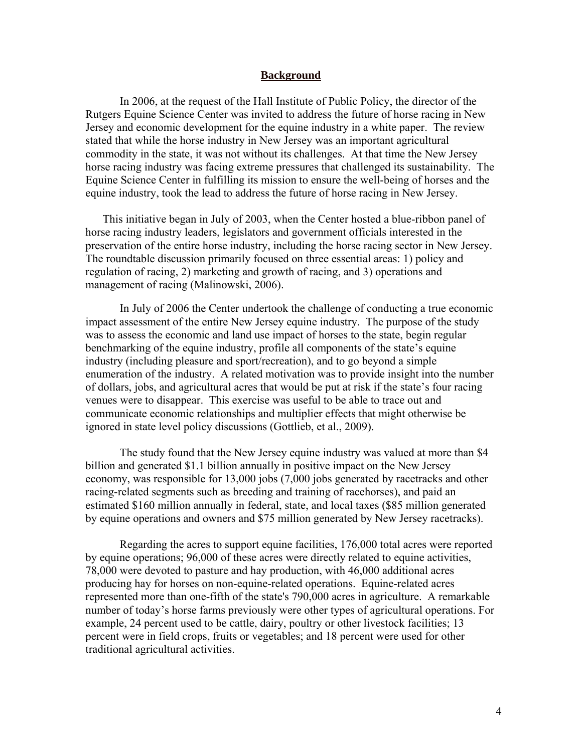## **Background**

In 2006, at the request of the Hall Institute of Public Policy, the director of the Rutgers Equine Science Center was invited to address the future of horse racing in New Jersey and economic development for the equine industry in a white paper. The review stated that while the horse industry in New Jersey was an important agricultural commodity in the state, it was not without its challenges. At that time the New Jersey horse racing industry was facing extreme pressures that challenged its sustainability. The Equine Science Center in fulfilling its mission to ensure the well-being of horses and the equine industry, took the lead to address the future of horse racing in New Jersey.

 This initiative began in July of 2003, when the Center hosted a blue-ribbon panel of horse racing industry leaders, legislators and government officials interested in the preservation of the entire horse industry, including the horse racing sector in New Jersey. The roundtable discussion primarily focused on three essential areas: 1) policy and regulation of racing, 2) marketing and growth of racing, and 3) operations and management of racing (Malinowski, 2006).

In July of 2006 the Center undertook the challenge of conducting a true economic impact assessment of the entire New Jersey equine industry. The purpose of the study was to assess the economic and land use impact of horses to the state, begin regular benchmarking of the equine industry, profile all components of the state's equine industry (including pleasure and sport/recreation), and to go beyond a simple enumeration of the industry. A related motivation was to provide insight into the number of dollars, jobs, and agricultural acres that would be put at risk if the state's four racing venues were to disappear. This exercise was useful to be able to trace out and communicate economic relationships and multiplier effects that might otherwise be ignored in state level policy discussions (Gottlieb, et al., 2009).

 The study found that the New Jersey equine industry was valued at more than \$4 billion and generated \$1.1 billion annually in positive impact on the New Jersey economy, was responsible for 13,000 jobs (7,000 jobs generated by racetracks and other racing-related segments such as breeding and training of racehorses), and paid an estimated \$160 million annually in federal, state, and local taxes (\$85 million generated by equine operations and owners and \$75 million generated by New Jersey racetracks).

Regarding the acres to support equine facilities, 176,000 total acres were reported by equine operations; 96,000 of these acres were directly related to equine activities, 78,000 were devoted to pasture and hay production, with 46,000 additional acres producing hay for horses on non-equine-related operations. Equine-related acres represented more than one-fifth of the state's 790,000 acres in agriculture. A remarkable number of today's horse farms previously were other types of agricultural operations. For example, 24 percent used to be cattle, dairy, poultry or other livestock facilities; 13 percent were in field crops, fruits or vegetables; and 18 percent were used for other traditional agricultural activities.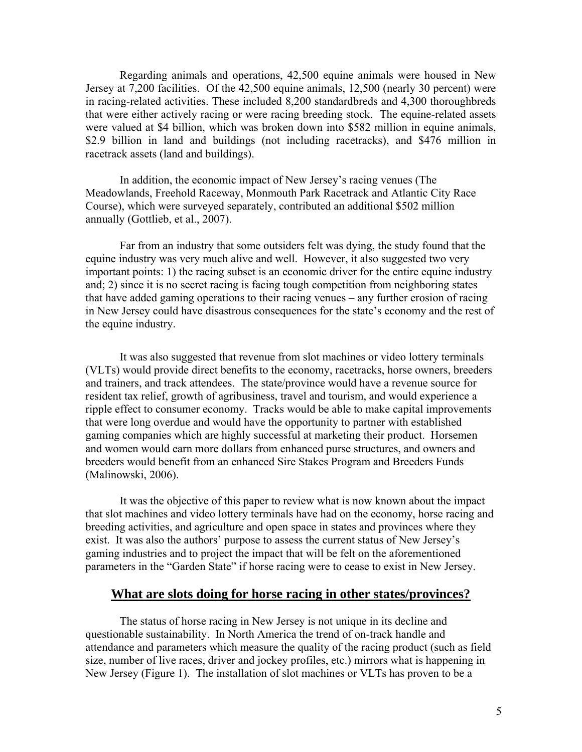Regarding animals and operations, 42,500 equine animals were housed in New Jersey at 7,200 facilities. Of the 42,500 equine animals, 12,500 (nearly 30 percent) were in racing-related activities. These included 8,200 standardbreds and 4,300 thoroughbreds that were either actively racing or were racing breeding stock. The equine-related assets were valued at \$4 billion, which was broken down into \$582 million in equine animals, \$2.9 billion in land and buildings (not including racetracks), and \$476 million in racetrack assets (land and buildings).

In addition, the economic impact of New Jersey's racing venues (The Meadowlands, Freehold Raceway, Monmouth Park Racetrack and Atlantic City Race Course), which were surveyed separately, contributed an additional \$502 million annually (Gottlieb, et al., 2007).

Far from an industry that some outsiders felt was dying, the study found that the equine industry was very much alive and well. However, it also suggested two very important points: 1) the racing subset is an economic driver for the entire equine industry and; 2) since it is no secret racing is facing tough competition from neighboring states that have added gaming operations to their racing venues – any further erosion of racing in New Jersey could have disastrous consequences for the state's economy and the rest of the equine industry.

It was also suggested that revenue from slot machines or video lottery terminals (VLTs) would provide direct benefits to the economy, racetracks, horse owners, breeders and trainers, and track attendees. The state/province would have a revenue source for resident tax relief, growth of agribusiness, travel and tourism, and would experience a ripple effect to consumer economy. Tracks would be able to make capital improvements that were long overdue and would have the opportunity to partner with established gaming companies which are highly successful at marketing their product. Horsemen and women would earn more dollars from enhanced purse structures, and owners and breeders would benefit from an enhanced Sire Stakes Program and Breeders Funds (Malinowski, 2006).

It was the objective of this paper to review what is now known about the impact that slot machines and video lottery terminals have had on the economy, horse racing and breeding activities, and agriculture and open space in states and provinces where they exist. It was also the authors' purpose to assess the current status of New Jersey's gaming industries and to project the impact that will be felt on the aforementioned parameters in the "Garden State" if horse racing were to cease to exist in New Jersey.

## **What are slots doing for horse racing in other states/provinces?**

The status of horse racing in New Jersey is not unique in its decline and questionable sustainability. In North America the trend of on-track handle and attendance and parameters which measure the quality of the racing product (such as field size, number of live races, driver and jockey profiles, etc.) mirrors what is happening in New Jersey (Figure 1). The installation of slot machines or VLTs has proven to be a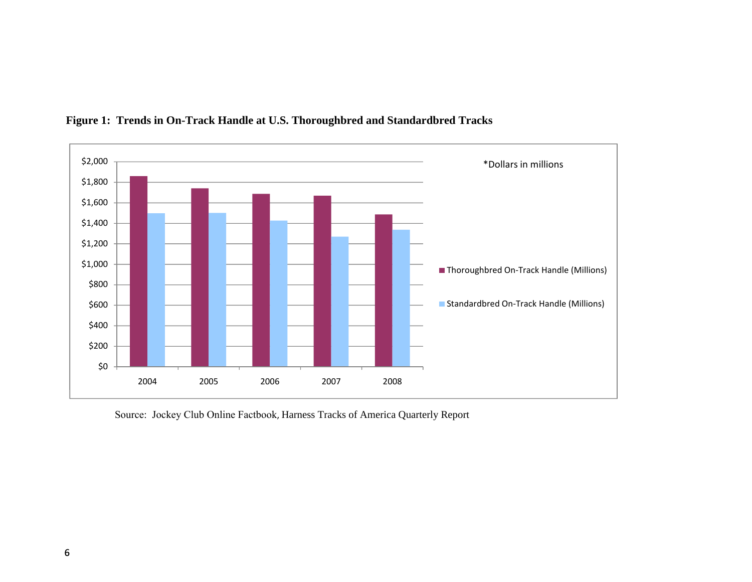

## **Figure 1: Trends in On-Track Handle at U.S. Thoroughbred and Standardbred Tracks**

Source: Jockey Club Online Factbook, Harness Tracks of America Quarterly Report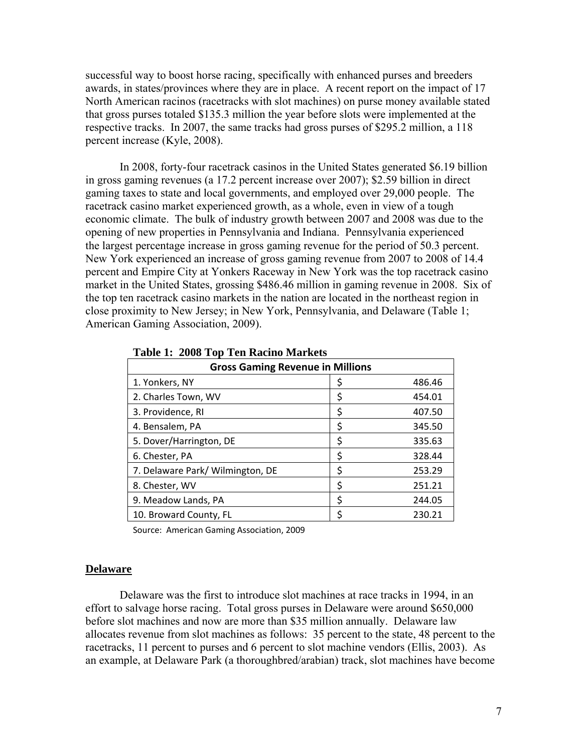successful way to boost horse racing, specifically with enhanced purses and breeders awards, in states/provinces where they are in place. A recent report on the impact of 17 North American racinos (racetracks with slot machines) on purse money available stated that gross purses totaled \$135.3 million the year before slots were implemented at the respective tracks. In 2007, the same tracks had gross purses of \$295.2 million, a 118 percent increase (Kyle, 2008).

 In 2008, forty-four racetrack casinos in the United States generated \$6.19 billion in gross gaming revenues (a 17.2 percent increase over 2007); \$2.59 billion in direct gaming taxes to state and local governments, and employed over 29,000 people. The racetrack casino market experienced growth, as a whole, even in view of a tough economic climate. The bulk of industry growth between 2007 and 2008 was due to the opening of new properties in Pennsylvania and Indiana. Pennsylvania experienced the largest percentage increase in gross gaming revenue for the period of 50.3 percent. New York experienced an increase of gross gaming revenue from 2007 to 2008 of 14.4 percent and Empire City at Yonkers Raceway in New York was the top racetrack casino market in the United States, grossing \$486.46 million in gaming revenue in 2008. Six of the top ten racetrack casino markets in the nation are located in the northeast region in close proximity to New Jersey; in New York, Pennsylvania, and Delaware (Table 1; American Gaming Association, 2009).

| <b>Gross Gaming Revenue in Millions</b> |    |        |  |  |  |  |  |  |
|-----------------------------------------|----|--------|--|--|--|--|--|--|
| 1. Yonkers, NY                          | Ş  | 486.46 |  |  |  |  |  |  |
| 2. Charles Town, WV                     | \$ | 454.01 |  |  |  |  |  |  |
| 3. Providence, RI                       | \$ | 407.50 |  |  |  |  |  |  |
| 4. Bensalem, PA                         | \$ | 345.50 |  |  |  |  |  |  |
| 5. Dover/Harrington, DE                 | \$ | 335.63 |  |  |  |  |  |  |
| 6. Chester, PA                          | \$ | 328.44 |  |  |  |  |  |  |
| 7. Delaware Park/ Wilmington, DE        | \$ | 253.29 |  |  |  |  |  |  |
| 8. Chester, WV                          | \$ | 251.21 |  |  |  |  |  |  |
| 9. Meadow Lands, PA                     | \$ | 244.05 |  |  |  |  |  |  |
| 10. Broward County, FL                  | \$ | 230.21 |  |  |  |  |  |  |

## **Table 1: 2008 Top Ten Racino Markets**

Source: American Gaming Association, 2009

## **Delaware**

Delaware was the first to introduce slot machines at race tracks in 1994, in an effort to salvage horse racing. Total gross purses in Delaware were around \$650,000 before slot machines and now are more than \$35 million annually. Delaware law allocates revenue from slot machines as follows: 35 percent to the state, 48 percent to the racetracks, 11 percent to purses and 6 percent to slot machine vendors (Ellis, 2003). As an example, at Delaware Park (a thoroughbred/arabian) track, slot machines have become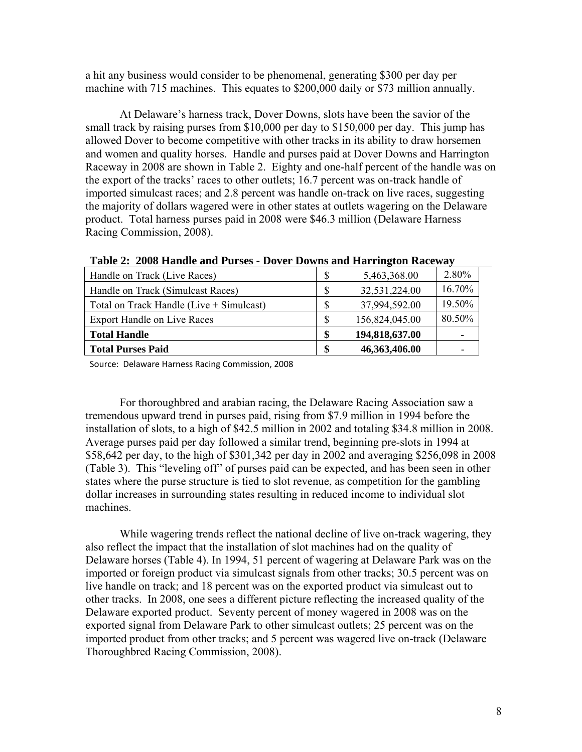a hit any business would consider to be phenomenal, generating \$300 per day per machine with 715 machines. This equates to \$200,000 daily or \$73 million annually.

At Delaware's harness track, Dover Downs, slots have been the savior of the small track by raising purses from \$10,000 per day to \$150,000 per day. This jump has allowed Dover to become competitive with other tracks in its ability to draw horsemen and women and quality horses. Handle and purses paid at Dover Downs and Harrington Raceway in 2008 are shown in Table 2. Eighty and one-half percent of the handle was on the export of the tracks' races to other outlets; 16.7 percent was on-track handle of imported simulcast races; and 2.8 percent was handle on-track on live races, suggesting the majority of dollars wagered were in other states at outlets wagering on the Delaware product. Total harness purses paid in 2008 were \$46.3 million (Delaware Harness Racing Commission, 2008).

| Handle on Track (Live Races)             | 5,463,368.00   | 2.80%                    |
|------------------------------------------|----------------|--------------------------|
| Handle on Track (Simulcast Races)        | 32,531,224.00  | 16.70%                   |
| Total on Track Handle (Live + Simulcast) | 37,994,592.00  | 19.50%                   |
| <b>Export Handle on Live Races</b>       | 156,824,045.00 | 80.50%                   |
| <b>Total Handle</b>                      | 194,818,637.00 | $\overline{\phantom{0}}$ |
| <b>Total Purses Paid</b>                 | 46,363,406.00  | $\overline{\phantom{0}}$ |

**Table 2: 2008 Handle and Purses - Dover Downs and Harrington Raceway** 

Source: Delaware Harness Racing Commission, 2008

For thoroughbred and arabian racing, the Delaware Racing Association saw a tremendous upward trend in purses paid, rising from \$7.9 million in 1994 before the installation of slots, to a high of \$42.5 million in 2002 and totaling \$34.8 million in 2008. Average purses paid per day followed a similar trend, beginning pre-slots in 1994 at \$58,642 per day, to the high of \$301,342 per day in 2002 and averaging \$256,098 in 2008 (Table 3). This "leveling off" of purses paid can be expected, and has been seen in other states where the purse structure is tied to slot revenue, as competition for the gambling dollar increases in surrounding states resulting in reduced income to individual slot machines.

While wagering trends reflect the national decline of live on-track wagering, they also reflect the impact that the installation of slot machines had on the quality of Delaware horses (Table 4). In 1994, 51 percent of wagering at Delaware Park was on the imported or foreign product via simulcast signals from other tracks; 30.5 percent was on live handle on track; and 18 percent was on the exported product via simulcast out to other tracks. In 2008, one sees a different picture reflecting the increased quality of the Delaware exported product. Seventy percent of money wagered in 2008 was on the exported signal from Delaware Park to other simulcast outlets; 25 percent was on the imported product from other tracks; and 5 percent was wagered live on-track (Delaware Thoroughbred Racing Commission, 2008).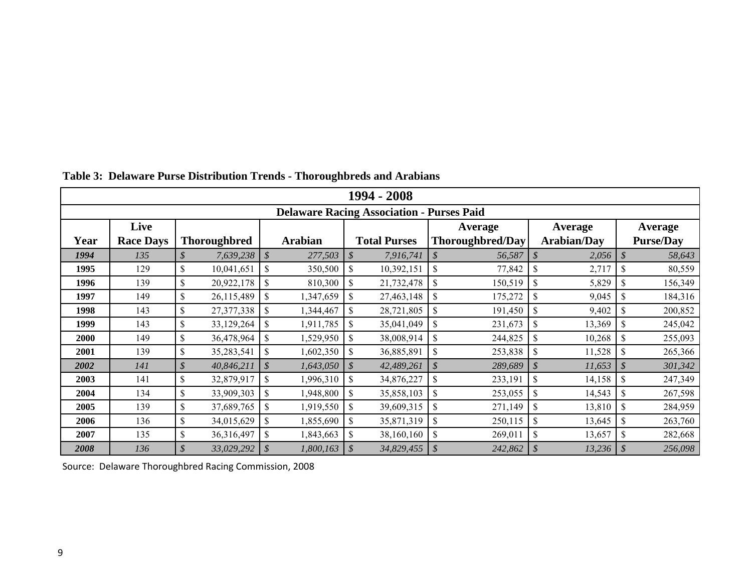|                                                  | 1994 - 2008      |                           |                     |                            |                |                            |                     |                            |                         |                            |                    |               |                  |
|--------------------------------------------------|------------------|---------------------------|---------------------|----------------------------|----------------|----------------------------|---------------------|----------------------------|-------------------------|----------------------------|--------------------|---------------|------------------|
| <b>Delaware Racing Association - Purses Paid</b> |                  |                           |                     |                            |                |                            |                     |                            |                         |                            |                    |               |                  |
|                                                  | Live             |                           |                     |                            |                |                            |                     |                            | Average                 |                            | Average            |               | <b>Average</b>   |
| Year                                             | <b>Race Days</b> |                           | <b>Thoroughbred</b> |                            | <b>Arabian</b> |                            | <b>Total Purses</b> |                            | <b>Thoroughbred/Day</b> |                            | <b>Arabian/Day</b> |               | <b>Purse/Day</b> |
| 1994                                             | 135              | \$                        | 7,639,238           | $\mathcal{S}$              | 277,503        | \$                         | 7,916,741           | $\mathcal{S}$              | 56,587                  | $\mathcal{S}$              | 2,056              | $\mathcal{S}$ | 58,643           |
| 1995                                             | 129              | \$                        | 10,041,651          | $\mathbf S$                | 350,500        | \$                         | 10,392,151          | \$                         | 77,842                  | <sup>S</sup>               | 2,717              | \$.           | 80,559           |
| 1996                                             | 139              | \$                        | 20,922,178          | \$                         | 810,300        | \$                         | 21,732,478          | <sup>\$</sup>              | 150,519                 | \$                         | 5,829              | \$.           | 156,349          |
| 1997                                             | 149              | \$                        | 26,115,489          | \$                         | 1,347,659      | \$                         | 27,463,148          | \$                         | 175,272                 |                            | 9,045              | $\mathbf{\$}$ | 184,316          |
| 1998                                             | 143              | \$                        | 27,377,338          | \$                         | 1,344,467      | \$                         | 28,721,805          | \$                         | 191,450                 | $\mathcal{S}$              | 9,402              | \$            | 200,852          |
| 1999                                             | 143              | \$                        | 33,129,264          | \$                         | 1,911,785      | \$                         | 35,041,049          | \$                         | 231,673                 | \$                         | 13,369             | \$            | 245,042          |
| <b>2000</b>                                      | 149              | \$                        | 36,478,964          | \$                         | 1,529,950      | \$                         | 38,008,914          | \$                         | 244,825                 |                            | 10,268             | \$            | 255,093          |
| 2001                                             | 139              | \$                        | 35,283,541          | \$                         | 1,602,350      | \$                         | 36,885,891          | \$                         | 253,838                 | $\mathcal{S}$              | 11,528             | \$            | 265,366          |
| 2002                                             | 141              | \$                        | 40,846,211          | $\boldsymbol{\mathcal{S}}$ | 1,643,050      | $\boldsymbol{\mathcal{S}}$ | 42,489,261          | \$                         | 289,689                 | $\boldsymbol{\mathcal{S}}$ | 11,653             | \$            | 301,342          |
| 2003                                             | 141              | \$                        | 32,879,917          | \$                         | 1,996,310      | \$                         | 34,876,227          | \$                         | 233,191                 | $\mathcal{S}$              | 14,158             | <sup>S</sup>  | 247,349          |
| 2004                                             | 134              | $\boldsymbol{\mathsf{S}}$ | 33,909,303          | \$                         | 1,948,800      | \$                         | 35,858,103          | \$                         | 253,055                 | <sup>\$</sup>              | 14,543             | \$            | 267,598          |
| 2005                                             | 139              | \$                        | 37,689,765          | \$                         | 1,919,550      | \$                         | 39,609,315          | \$                         | 271,149                 | $\mathcal{S}$              | 13,810             | $\mathcal{S}$ | 284,959          |
| 2006                                             | 136              | \$                        | 34,015,629          | \$                         | 1,855,690      | \$                         | 35,871,319          | \$                         | 250,115                 | $\mathcal{S}$              | 13,645             |               | 263,760          |
| 2007                                             | 135              | \$                        | 36,316,497          | \$                         | 1,843,663      | \$                         | 38,160,160          | \$                         | 269,011                 | <sup>S</sup>               | 13,657             | \$            | 282,668          |
| 2008                                             | 136              | \$                        | 33,029,292          | $\boldsymbol{\mathcal{S}}$ | 1,800,163      | $\boldsymbol{\mathcal{S}}$ | 34,829,455          | $\boldsymbol{\mathcal{S}}$ | 242,862                 |                            | $13,236$ \$        |               | 256,098          |

**Table 3: Delaware Purse Distribution Trends - Thoroughbreds and Arabians**

Source: Delaware Thoroughbred Racing Commission, 2008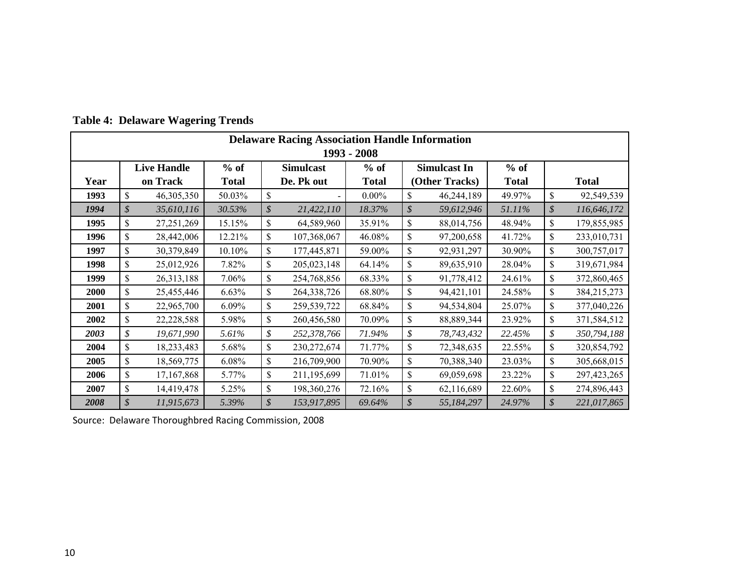|             | <b>Delaware Racing Association Handle Information</b> |                    |              |                            |                  |              |                            |                     |              |                            |               |
|-------------|-------------------------------------------------------|--------------------|--------------|----------------------------|------------------|--------------|----------------------------|---------------------|--------------|----------------------------|---------------|
| 1993 - 2008 |                                                       |                    |              |                            |                  |              |                            |                     |              |                            |               |
|             |                                                       | <b>Live Handle</b> | $%$ of       |                            | <b>Simulcast</b> | $%$ of       |                            | <b>Simulcast In</b> | $%$ of       |                            |               |
| Year        |                                                       | on Track           | <b>Total</b> |                            | De. Pk out       | <b>Total</b> |                            | (Other Tracks)      | <b>Total</b> |                            | <b>Total</b>  |
| 1993        | \$                                                    | 46,305,350         | 50.03%       | \$                         |                  | $0.00\%$     | \$                         | 46,244,189          | 49.97%       | \$                         | 92,549,539    |
| 1994        | \$                                                    | 35,610,116         | 30.53%       | \$                         | 21,422,110       | 18.37%       | $\boldsymbol{\mathcal{S}}$ | 59,612,946          | 51.11%       | $\boldsymbol{\mathcal{S}}$ | 116,646,172   |
| 1995        | \$                                                    | 27, 251, 269       | 15.15%       | \$                         | 64,589,960       | 35.91%       | \$                         | 88,014,756          | 48.94%       | \$                         | 179,855,985   |
| 1996        | \$                                                    | 28,442,006         | 12.21%       | \$                         | 107,368,067      | 46.08%       | \$                         | 97,200,658          | 41.72%       | \$                         | 233,010,731   |
| 1997        | \$                                                    | 30,379,849         | 10.10%       | \$                         | 177,445,871      | 59.00%       | \$                         | 92,931,297          | 30.90%       | \$                         | 300,757,017   |
| 1998        | \$                                                    | 25,012,926         | 7.82%        | $\mathsf{\$}$              | 205,023,148      | 64.14%       | \$                         | 89,635,910          | 28.04%       | \$                         | 319,671,984   |
| 1999        | \$                                                    | 26,313,188         | 7.06%        | \$                         | 254,768,856      | 68.33%       | \$                         | 91,778,412          | 24.61%       | \$                         | 372,860,465   |
| <b>2000</b> | \$                                                    | 25,455,446         | 6.63%        | \$                         | 264,338,726      | 68.80%       | \$                         | 94,421,101          | 24.58%       | \$                         | 384,215,273   |
| 2001        | \$                                                    | 22,965,700         | 6.09%        | \$                         | 259,539,722      | 68.84%       | \$                         | 94,534,804          | 25.07%       | \$                         | 377,040,226   |
| 2002        | \$                                                    | 22,228,588         | 5.98%        | \$                         | 260,456,580      | 70.09%       | $\boldsymbol{\mathsf{S}}$  | 88,889,344          | 23.92%       | \$                         | 371,584,512   |
| 2003        | \$                                                    | 19,671,990         | 5.61%        | \$                         | 252,378,766      | 71.94%       | \$                         | 78,743,432          | 22.45%       | \$                         | 350,794,188   |
| 2004        | \$                                                    | 18,233,483         | 5.68%        | \$                         | 230, 272, 674    | 71.77%       | \$                         | 72,348,635          | 22.55%       | \$                         | 320,854,792   |
| 2005        | \$                                                    | 18,569,775         | 6.08%        | \$                         | 216,709,900      | 70.90%       | \$                         | 70,388,340          | 23.03%       | \$                         | 305,668,015   |
| 2006        | \$                                                    | 17,167,868         | 5.77%        | \$                         | 211,195,699      | 71.01%       | \$                         | 69,059,698          | 23.22%       | \$                         | 297, 423, 265 |
| 2007        | \$                                                    | 14,419,478         | 5.25%        | \$                         | 198,360,276      | 72.16%       | \$                         | 62,116,689          | 22.60%       | \$                         | 274,896,443   |
| 2008        | \$                                                    | 11,915,673         | 5.39%        | $\boldsymbol{\mathcal{S}}$ | 153,917,895      | 69.64%       | $\mathcal{S}$              | 55,184,297          | 24.97%       | $\boldsymbol{\mathcal{S}}$ | 221,017,865   |

**Table 4: Delaware Wagering Trends**

Source: Delaware Thoroughbred Racing Commission, 2008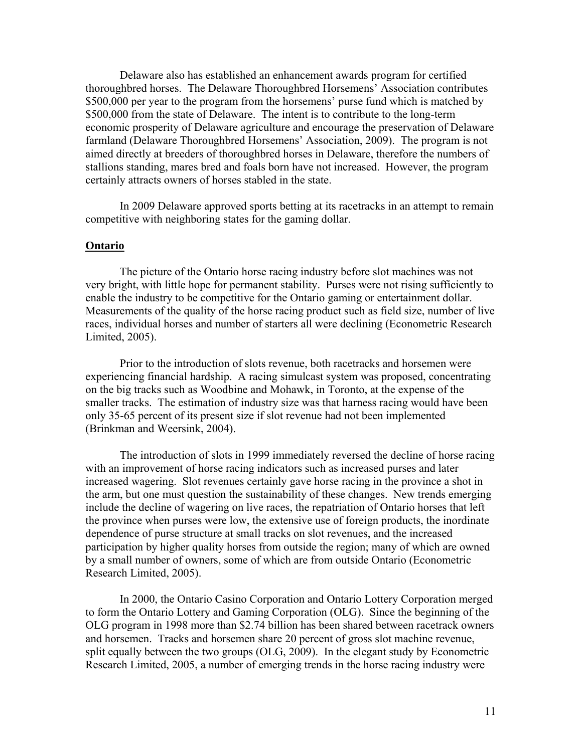Delaware also has established an enhancement awards program for certified thoroughbred horses. The Delaware Thoroughbred Horsemens' Association contributes \$500,000 per year to the program from the horsemens' purse fund which is matched by \$500,000 from the state of Delaware. The intent is to contribute to the long-term economic prosperity of Delaware agriculture and encourage the preservation of Delaware farmland (Delaware Thoroughbred Horsemens' Association, 2009). The program is not aimed directly at breeders of thoroughbred horses in Delaware, therefore the numbers of stallions standing, mares bred and foals born have not increased. However, the program certainly attracts owners of horses stabled in the state.

In 2009 Delaware approved sports betting at its racetracks in an attempt to remain competitive with neighboring states for the gaming dollar.

## **Ontario**

The picture of the Ontario horse racing industry before slot machines was not very bright, with little hope for permanent stability. Purses were not rising sufficiently to enable the industry to be competitive for the Ontario gaming or entertainment dollar. Measurements of the quality of the horse racing product such as field size, number of live races, individual horses and number of starters all were declining (Econometric Research Limited, 2005).

Prior to the introduction of slots revenue, both racetracks and horsemen were experiencing financial hardship. A racing simulcast system was proposed, concentrating on the big tracks such as Woodbine and Mohawk, in Toronto, at the expense of the smaller tracks. The estimation of industry size was that harness racing would have been only 35-65 percent of its present size if slot revenue had not been implemented (Brinkman and Weersink, 2004).

The introduction of slots in 1999 immediately reversed the decline of horse racing with an improvement of horse racing indicators such as increased purses and later increased wagering. Slot revenues certainly gave horse racing in the province a shot in the arm, but one must question the sustainability of these changes. New trends emerging include the decline of wagering on live races, the repatriation of Ontario horses that left the province when purses were low, the extensive use of foreign products, the inordinate dependence of purse structure at small tracks on slot revenues, and the increased participation by higher quality horses from outside the region; many of which are owned by a small number of owners, some of which are from outside Ontario (Econometric Research Limited, 2005).

In 2000, the Ontario Casino Corporation and Ontario Lottery Corporation merged to form the Ontario Lottery and Gaming Corporation (OLG). Since the beginning of the OLG program in 1998 more than \$2.74 billion has been shared between racetrack owners and horsemen. Tracks and horsemen share 20 percent of gross slot machine revenue, split equally between the two groups (OLG, 2009). In the elegant study by Econometric Research Limited, 2005, a number of emerging trends in the horse racing industry were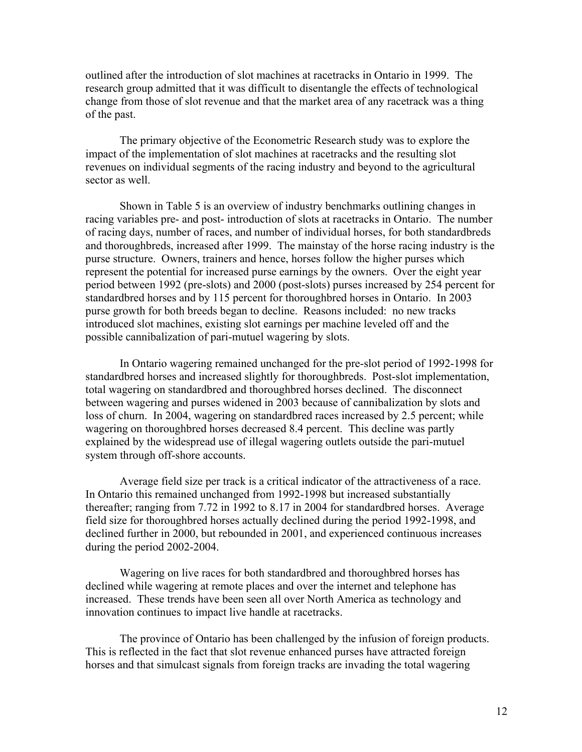outlined after the introduction of slot machines at racetracks in Ontario in 1999. The research group admitted that it was difficult to disentangle the effects of technological change from those of slot revenue and that the market area of any racetrack was a thing of the past.

The primary objective of the Econometric Research study was to explore the impact of the implementation of slot machines at racetracks and the resulting slot revenues on individual segments of the racing industry and beyond to the agricultural sector as well

Shown in Table 5 is an overview of industry benchmarks outlining changes in racing variables pre- and post- introduction of slots at racetracks in Ontario. The number of racing days, number of races, and number of individual horses, for both standardbreds and thoroughbreds, increased after 1999. The mainstay of the horse racing industry is the purse structure. Owners, trainers and hence, horses follow the higher purses which represent the potential for increased purse earnings by the owners. Over the eight year period between 1992 (pre-slots) and 2000 (post-slots) purses increased by 254 percent for standardbred horses and by 115 percent for thoroughbred horses in Ontario. In 2003 purse growth for both breeds began to decline. Reasons included: no new tracks introduced slot machines, existing slot earnings per machine leveled off and the possible cannibalization of pari-mutuel wagering by slots.

In Ontario wagering remained unchanged for the pre-slot period of 1992-1998 for standardbred horses and increased slightly for thoroughbreds. Post-slot implementation, total wagering on standardbred and thoroughbred horses declined. The disconnect between wagering and purses widened in 2003 because of cannibalization by slots and loss of churn. In 2004, wagering on standardbred races increased by 2.5 percent; while wagering on thoroughbred horses decreased 8.4 percent. This decline was partly explained by the widespread use of illegal wagering outlets outside the pari-mutuel system through off-shore accounts.

Average field size per track is a critical indicator of the attractiveness of a race. In Ontario this remained unchanged from 1992-1998 but increased substantially thereafter; ranging from 7.72 in 1992 to 8.17 in 2004 for standardbred horses. Average field size for thoroughbred horses actually declined during the period 1992-1998, and declined further in 2000, but rebounded in 2001, and experienced continuous increases during the period 2002-2004.

Wagering on live races for both standardbred and thoroughbred horses has declined while wagering at remote places and over the internet and telephone has increased. These trends have been seen all over North America as technology and innovation continues to impact live handle at racetracks.

The province of Ontario has been challenged by the infusion of foreign products. This is reflected in the fact that slot revenue enhanced purses have attracted foreign horses and that simulcast signals from foreign tracks are invading the total wagering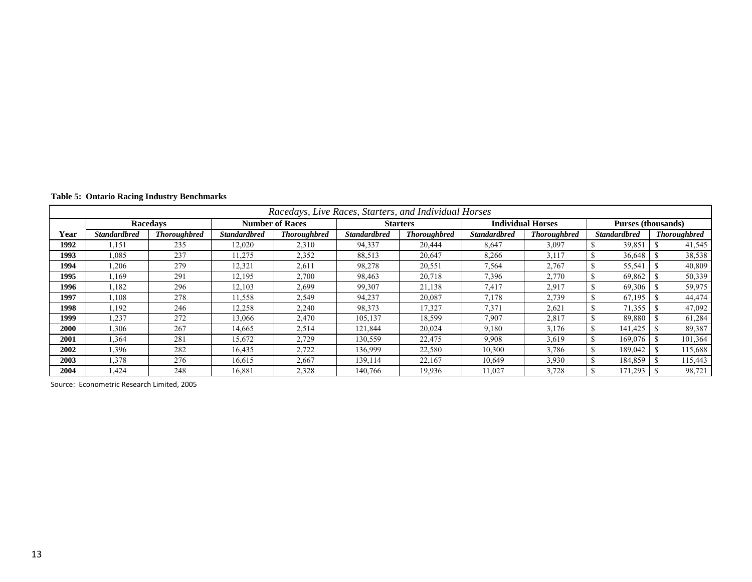|  |  |  |  | <b>Table 5: Ontario Racing Industry Benchmarks</b> |
|--|--|--|--|----------------------------------------------------|
|--|--|--|--|----------------------------------------------------|

|      | Racedays, Live Races, Starters, and Individual Horses |                     |                     |                        |                     |                     |                     |                          |                           |                     |  |  |  |
|------|-------------------------------------------------------|---------------------|---------------------|------------------------|---------------------|---------------------|---------------------|--------------------------|---------------------------|---------------------|--|--|--|
|      |                                                       | <b>Racedays</b>     |                     | <b>Number of Races</b> |                     | <b>Starters</b>     |                     | <b>Individual Horses</b> | <b>Purses (thousands)</b> |                     |  |  |  |
| Year | <b>Standardbred</b>                                   | <b>Thoroughbred</b> | <b>Standardbred</b> | <b>Thoroughbred</b>    | <b>Standardbred</b> | <b>Thoroughbred</b> | <b>Standardbred</b> | <b>Thoroughbred</b>      | <b>Standardbred</b>       | <b>Thoroughbred</b> |  |  |  |
| 1992 | .151                                                  | 235                 | 12,020              | 2,310                  | 94,337              | 20.444              | 8,647               | 3,097                    | 39,851                    | 41,545              |  |  |  |
| 1993 | .085                                                  | 237                 | 11,275              | 2,352                  | 88,513              | 20,647              | 8,266               | 3,117                    | 36,648                    | 38,538              |  |  |  |
| 1994 | ,206                                                  | 279                 | 12,321              | 2,611                  | 98,278              | 20,551              | 7,564               | 2,767                    | 55,541                    | 40,809              |  |  |  |
| 1995 | .169                                                  | 291                 | 12,195              | 2,700                  | 98,463              | 20,718              | 7,396               | 2,770                    | 69,862                    | 50,339              |  |  |  |
| 1996 | .182                                                  | 296                 | 12,103              | 2,699                  | 99,307              | 21,138              | 7,417               | 2,917                    | 69,306                    | 59,975              |  |  |  |
| 1997 | .108                                                  | 278                 | 11,558              | 2,549                  | 94,237              | 20,087              | 7,178               | 2,739                    | 67,195                    | 44,474              |  |  |  |
| 1998 | 1,192                                                 | 246                 | 12,258              | 2,240                  | 98,373              | 17,327              | 7,371               | 2,621                    | 71,355                    | 47,092              |  |  |  |
| 1999 | .237                                                  | 272                 | 13,066              | 2,470                  | 105,137             | 18,599              | 7,907               | 2,817                    | 89,880                    | 61,284              |  |  |  |
| 2000 | ,306                                                  | 267                 | 14,665              | 2,514                  | 121,844             | 20,024              | 9,180               | 3,176                    | 141,425                   | 89,387              |  |  |  |
| 2001 | .364                                                  | 281                 | 15,672              | 2,729                  | 130,559             | 22,475              | 9.908               | 3,619                    | 169,076                   | 101,364             |  |  |  |
| 2002 | .396                                                  | 282                 | 16,435              | 2,722                  | 136,999             | 22,580              | 10,300              | 3,786                    | 189.042                   | 115,688             |  |  |  |
| 2003 | .378                                                  | 276                 | 16,615              | 2,667                  | 139,114             | 22,167              | 10,649              | 3,930                    | 184,859                   | 115,443             |  |  |  |
| 2004 | .424                                                  | 248                 | 16,881              | 2,328                  | 140,766             | 19,936              | 11,027              | 3,728                    | 171,293                   | 98,721              |  |  |  |

Source: Econometric Research Limited, 2005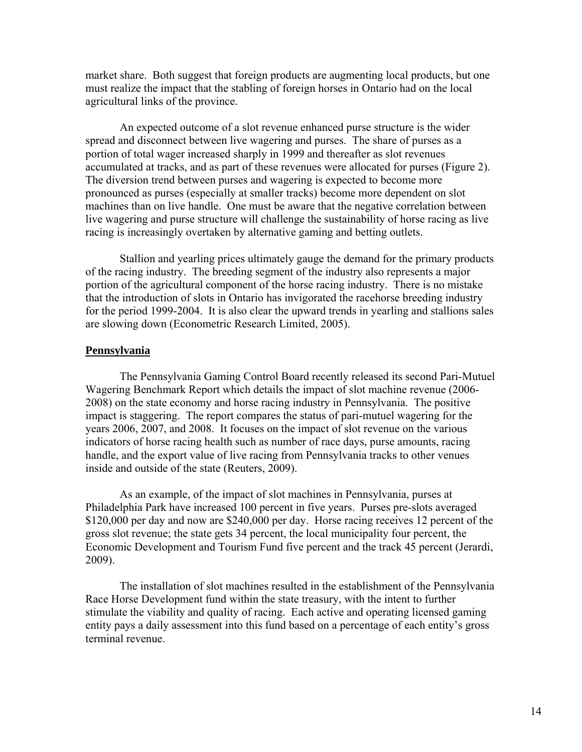market share. Both suggest that foreign products are augmenting local products, but one must realize the impact that the stabling of foreign horses in Ontario had on the local agricultural links of the province.

An expected outcome of a slot revenue enhanced purse structure is the wider spread and disconnect between live wagering and purses. The share of purses as a portion of total wager increased sharply in 1999 and thereafter as slot revenues accumulated at tracks, and as part of these revenues were allocated for purses (Figure 2). The diversion trend between purses and wagering is expected to become more pronounced as purses (especially at smaller tracks) become more dependent on slot machines than on live handle. One must be aware that the negative correlation between live wagering and purse structure will challenge the sustainability of horse racing as live racing is increasingly overtaken by alternative gaming and betting outlets.

Stallion and yearling prices ultimately gauge the demand for the primary products of the racing industry. The breeding segment of the industry also represents a major portion of the agricultural component of the horse racing industry. There is no mistake that the introduction of slots in Ontario has invigorated the racehorse breeding industry for the period 1999-2004. It is also clear the upward trends in yearling and stallions sales are slowing down (Econometric Research Limited, 2005).

## **Pennsylvania**

The Pennsylvania Gaming Control Board recently released its second Pari-Mutuel Wagering Benchmark Report which details the impact of slot machine revenue (2006- 2008) on the state economy and horse racing industry in Pennsylvania. The positive impact is staggering. The report compares the status of pari-mutuel wagering for the years 2006, 2007, and 2008. It focuses on the impact of slot revenue on the various indicators of horse racing health such as number of race days, purse amounts, racing handle, and the export value of live racing from Pennsylvania tracks to other venues inside and outside of the state (Reuters, 2009).

As an example, of the impact of slot machines in Pennsylvania, purses at Philadelphia Park have increased 100 percent in five years. Purses pre-slots averaged \$120,000 per day and now are \$240,000 per day. Horse racing receives 12 percent of the gross slot revenue; the state gets 34 percent, the local municipality four percent, the Economic Development and Tourism Fund five percent and the track 45 percent (Jerardi, 2009).

The installation of slot machines resulted in the establishment of the Pennsylvania Race Horse Development fund within the state treasury, with the intent to further stimulate the viability and quality of racing. Each active and operating licensed gaming entity pays a daily assessment into this fund based on a percentage of each entity's gross terminal revenue.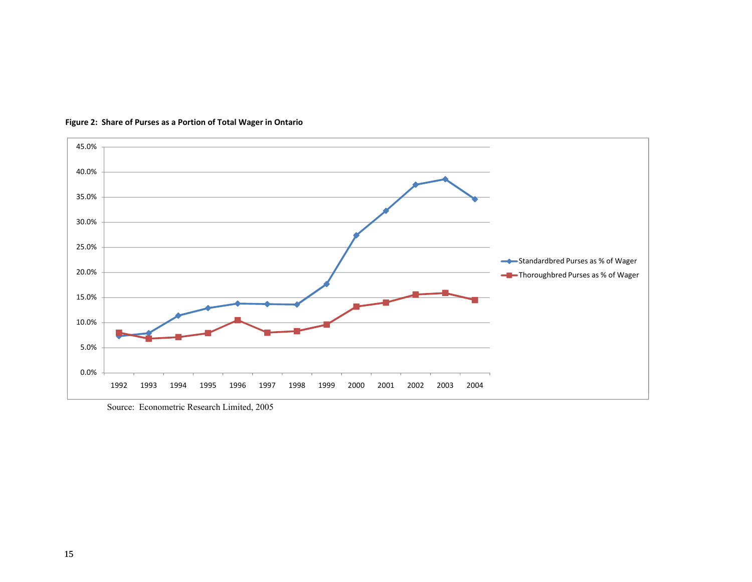

**Figure 2: Share of Purses as <sup>a</sup> Portion of Total Wager in Ontario**

Source: Econometric Research Limited, 2005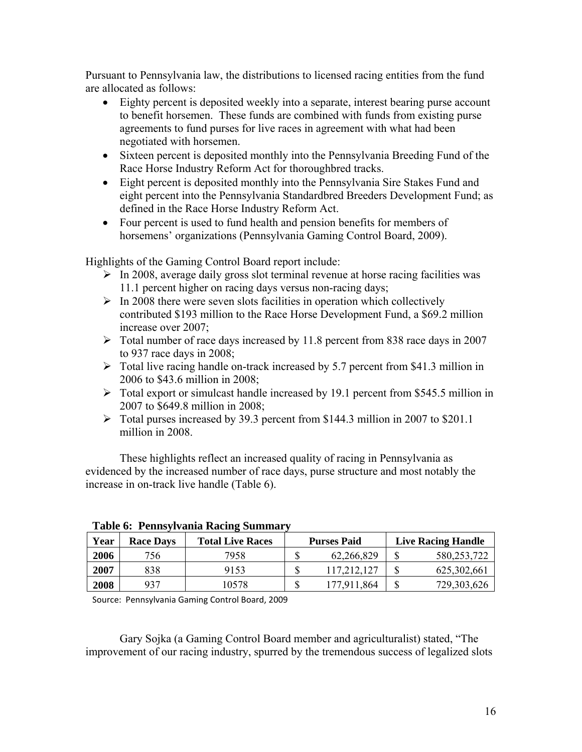Pursuant to Pennsylvania law, the distributions to licensed racing entities from the fund are allocated as follows:

- Eighty percent is deposited weekly into a separate, interest bearing purse account to benefit horsemen. These funds are combined with funds from existing purse agreements to fund purses for live races in agreement with what had been negotiated with horsemen.
- Sixteen percent is deposited monthly into the Pennsylvania Breeding Fund of the Race Horse Industry Reform Act for thoroughbred tracks.
- Eight percent is deposited monthly into the Pennsylvania Sire Stakes Fund and eight percent into the Pennsylvania Standardbred Breeders Development Fund; as defined in the Race Horse Industry Reform Act.
- Four percent is used to fund health and pension benefits for members of horsemens' organizations (Pennsylvania Gaming Control Board, 2009).

Highlights of the Gaming Control Board report include:

- $\triangleright$  In 2008, average daily gross slot terminal revenue at horse racing facilities was 11.1 percent higher on racing days versus non-racing days;
- $\triangleright$  In 2008 there were seven slots facilities in operation which collectively contributed \$193 million to the Race Horse Development Fund, a \$69.2 million increase over 2007;
- $\triangleright$  Total number of race days increased by 11.8 percent from 838 race days in 2007 to 937 race days in 2008;
- $\triangleright$  Total live racing handle on-track increased by 5.7 percent from \$41.3 million in 2006 to \$43.6 million in 2008;
- $\triangleright$  Total export or simulcast handle increased by 19.1 percent from \$545.5 million in 2007 to \$649.8 million in 2008;
- ¾ Total purses increased by 39.3 percent from \$144.3 million in 2007 to \$201.1 million in 2008.

These highlights reflect an increased quality of racing in Pennsylvania as evidenced by the increased number of race days, purse structure and most notably the increase in on-track live handle (Table 6).

|      |                  | Table v. Tennsylvania Rachig Bunningi ( |                    |                           |
|------|------------------|-----------------------------------------|--------------------|---------------------------|
| Year | <b>Race Davs</b> | <b>Total Live Races</b>                 | <b>Purses Paid</b> | <b>Live Racing Handle</b> |
| 2006 | 756              | 7958                                    | 62,266,829         | 580.253.722               |
| 2007 | 838              | 9153                                    | 117,212,127        | 625, 302, 661             |
| 2008 | 937              | 10578                                   | 177.911.864        | 729,303,626               |

| Table 6: Pennsylvania Racing Summary |  |
|--------------------------------------|--|
|                                      |  |

Source: Pennsylvania Gaming Control Board, 2009

Gary Sojka (a Gaming Control Board member and agriculturalist) stated, "The improvement of our racing industry, spurred by the tremendous success of legalized slots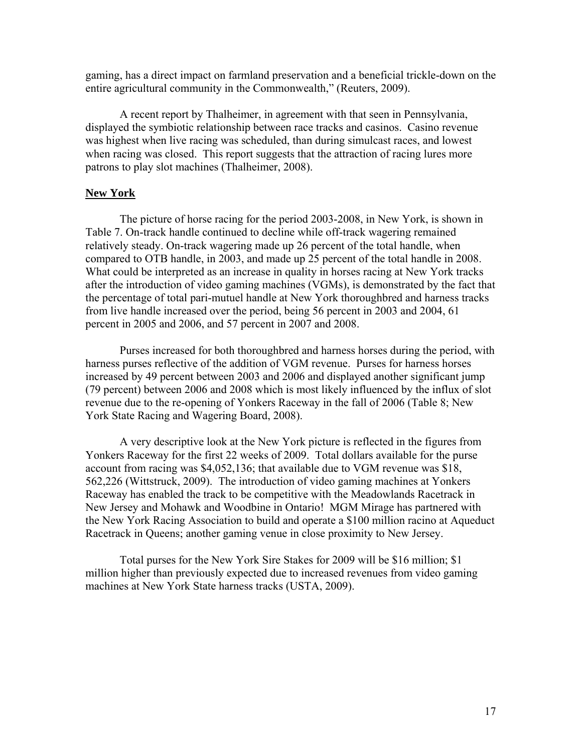gaming, has a direct impact on farmland preservation and a beneficial trickle-down on the entire agricultural community in the Commonwealth," (Reuters, 2009).

A recent report by Thalheimer, in agreement with that seen in Pennsylvania, displayed the symbiotic relationship between race tracks and casinos. Casino revenue was highest when live racing was scheduled, than during simulcast races, and lowest when racing was closed. This report suggests that the attraction of racing lures more patrons to play slot machines (Thalheimer, 2008).

## **New York**

The picture of horse racing for the period 2003-2008, in New York, is shown in Table 7. On-track handle continued to decline while off-track wagering remained relatively steady. On-track wagering made up 26 percent of the total handle, when compared to OTB handle, in 2003, and made up 25 percent of the total handle in 2008. What could be interpreted as an increase in quality in horses racing at New York tracks after the introduction of video gaming machines (VGMs), is demonstrated by the fact that the percentage of total pari-mutuel handle at New York thoroughbred and harness tracks from live handle increased over the period, being 56 percent in 2003 and 2004, 61 percent in 2005 and 2006, and 57 percent in 2007 and 2008.

Purses increased for both thoroughbred and harness horses during the period, with harness purses reflective of the addition of VGM revenue. Purses for harness horses increased by 49 percent between 2003 and 2006 and displayed another significant jump (79 percent) between 2006 and 2008 which is most likely influenced by the influx of slot revenue due to the re-opening of Yonkers Raceway in the fall of 2006 (Table 8; New York State Racing and Wagering Board, 2008).

A very descriptive look at the New York picture is reflected in the figures from Yonkers Raceway for the first 22 weeks of 2009. Total dollars available for the purse account from racing was \$4,052,136; that available due to VGM revenue was \$18, 562,226 (Wittstruck, 2009). The introduction of video gaming machines at Yonkers Raceway has enabled the track to be competitive with the Meadowlands Racetrack in New Jersey and Mohawk and Woodbine in Ontario! MGM Mirage has partnered with the New York Racing Association to build and operate a \$100 million racino at Aqueduct Racetrack in Queens; another gaming venue in close proximity to New Jersey.

Total purses for the New York Sire Stakes for 2009 will be \$16 million; \$1 million higher than previously expected due to increased revenues from video gaming machines at New York State harness tracks (USTA, 2009).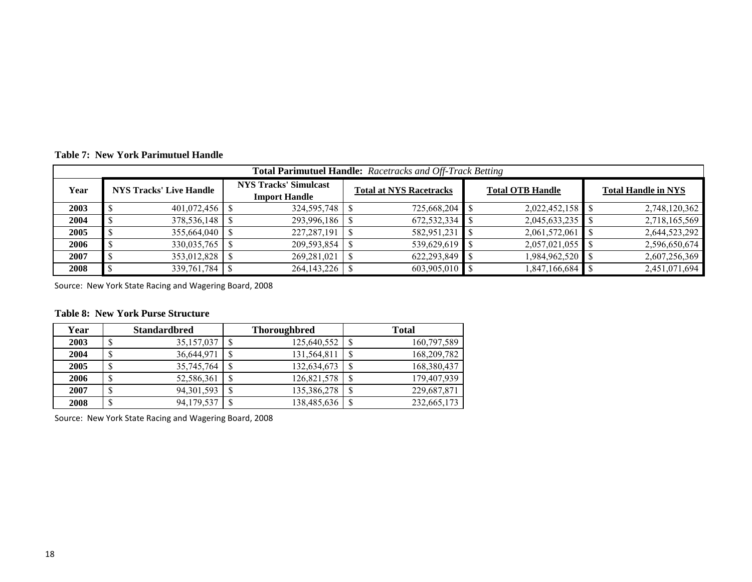**NYS Tracks' Simulcast Import Handle 20033 1** \$ 401,072,456 **|** \$ 324,595,748 **|** \$ 2725,668,204 **|** \$ 2,022,452,158 **|** \$ 2,748,120,362 **20044 \$** 378,536,148 **\$** 293,996,186 **\$** 672,532,334 **\$** 2,045,633,235 \$ 2,718,165,569 **20055 5 5 5 511 582,951,231 582,951,231 582,951,231 5 2**,061,572,061 **5 2**,644,523,292 **20066 \$** 330,035,765 \$ 209,593,854 \$ 539,629,619 **\$** 2,057,021,055 \$ 2,596,650,674 **20077 S** 353,012,828 **S** 2607,256,369 **S** 2607,256,369 **S** 2,607,256,369 **2008**\$ 339,761,784 \$ 264,143,226 \$ 603,905,010 \$ 1,847,166,684 \$ 2,451,071,694 **Total Parimutuel Handle:** *Racetracks and Off-Track Betting* **YearNYS Tracks' Live Handle Total ATTS IT ACKS' SIMUICAST Total at NYS Racetracks Total OTB Handle Total Handle in NYS** 

**Table 7: New York Parimutuel Handle**

Source: New York State Racing and Wagering Board, 2008

#### **Table 8: New York Purse Structure**

| Year |        | <b>Standardbred</b> |    | <b>Thoroughbred</b> |               | <b>Total</b> |
|------|--------|---------------------|----|---------------------|---------------|--------------|
| 2003 | D      | 35, 157, 037        |    | 125,640,552         | <sup>S</sup>  | 160,797,589  |
| 2004 | \$     | 36,644,971          | -S | 131,564,811         | <sup>\$</sup> | 168,209,782  |
| 2005 | \$     | 35,745,764          |    | 132,634,673         |               | 168,380,437  |
| 2006 | ¢<br>D | 52,586,361          |    | 126,821,578         |               | 179,407,939  |
| 2007 | ¢<br>ъ | 94, 301, 593        |    | 135,386,278         |               | 229,687,871  |
| 2008 | ¢<br>D | 94,179,537          |    | 138,485,636         |               | 232,665,173  |

Source: New York State Racing and Wagering Board, 2008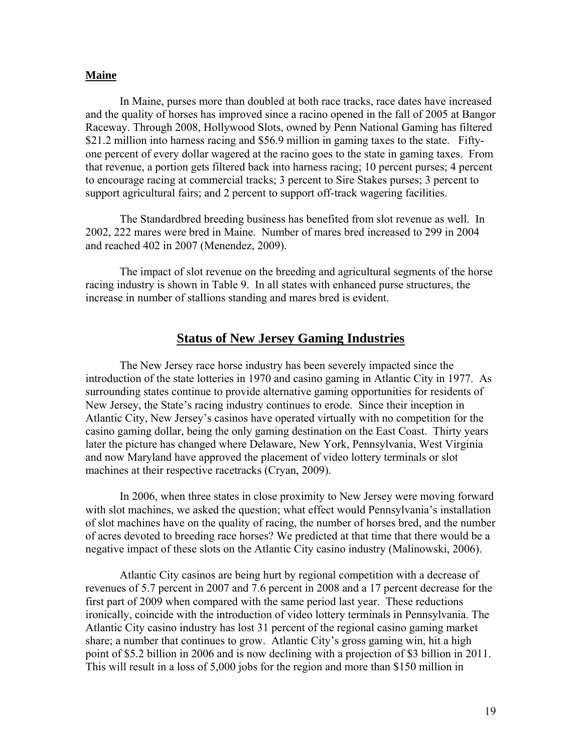## **Maine**

In Maine, purses more than doubled at both race tracks, race dates have increased and the quality of horses has improved since a racino opened in the fall of 2005 at Bangor Raceway. Through 2008, Hollywood Slots, owned by Penn National Gaming has filtered \$21.2 million into harness racing and \$56.9 million in gaming taxes to the state. Fiftyone percent of every dollar wagered at the racino goes to the state in gaming taxes. From that revenue, a portion gets filtered back into harness racing; 10 percent purses; 4 percent to encourage racing at commercial tracks; 3 percent to Sire Stakes purses; 3 percent to support agricultural fairs; and 2 percent to support off-track wagering facilities.

The Standardbred breeding business has benefited from slot revenue as well. In 2002, 222 mares were bred in Maine. Number of mares bred increased to 299 in 2004 and reached 402 in 2007 (Menendez, 2009).

The impact of slot revenue on the breeding and agricultural segments of the horse racing industry is shown in Table 9. In all states with enhanced purse structures, the increase in number of stallions standing and mares bred is evident.

# **Status of New Jersey Gaming Industries**

The New Jersey race horse industry has been severely impacted since the introduction of the state lotteries in 1970 and casino gaming in Atlantic City in 1977. As surrounding states continue to provide alternative gaming opportunities for residents of New Jersey, the State's racing industry continues to erode. Since their inception in Atlantic City, New Jersey's casinos have operated virtually with no competition for the casino gaming dollar, being the only gaming destination on the East Coast. Thirty years later the picture has changed where Delaware, New York, Pennsylvania, West Virginia and now Maryland have approved the placement of video lottery terminals or slot machines at their respective racetracks (Cryan, 2009).

In 2006, when three states in close proximity to New Jersey were moving forward with slot machines, we asked the question; what effect would Pennsylvania's installation of slot machines have on the quality of racing, the number of horses bred, and the number of acres devoted to breeding race horses? We predicted at that time that there would be a negative impact of these slots on the Atlantic City casino industry (Malinowski, 2006).

Atlantic City casinos are being hurt by regional competition with a decrease of revenues of 5.7 percent in 2007 and 7.6 percent in 2008 and a 17 percent decrease for the first part of 2009 when compared with the same period last year. These reductions ironically, coincide with the introduction of video lottery terminals in Pennsylvania. The Atlantic City casino industry has lost 31 percent of the regional casino gaming market share; a number that continues to grow. Atlantic City's gross gaming win, hit a high point of \$5.2 billion in 2006 and is now declining with a projection of \$3 billion in 2011. This will result in a loss of 5,000 jobs for the region and more than \$150 million in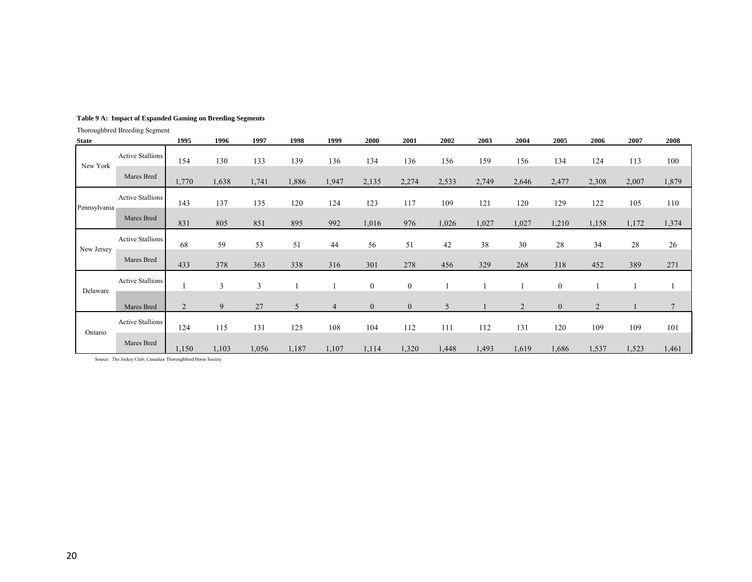#### **Table 9 A: Impact of Expanded Gaming on Breeding Segments**

Thoroughbred Breeding Segment

| <b>State</b> |                         | 1995           | 1996           | 1997  | 1998           | 1999           | 2000             | 2001             | 2002  | 2003  | 2004           | 2005             | 2006           | 2007  | 2008           |
|--------------|-------------------------|----------------|----------------|-------|----------------|----------------|------------------|------------------|-------|-------|----------------|------------------|----------------|-------|----------------|
| New York     | <b>Active Stallions</b> | 154            | 130            | 133   | 139            | 136            | 134              | 136              | 156   | 159   | 156            | 134              | 124            | 113   | 100            |
|              | Mares Bred              | 1,770          | 1,638          | 1,741 | 1,886          | 1,947          | 2,135            | 2,274            | 2,533 | 2,749 | 2,646          | 2,477            | 2,308          | 2,007 | 1,879          |
| Pennsylvania | <b>Active Stallions</b> | 143            | 137            | 135   | 120            | 124            | 123              | 117              | 109   | 121   | 120            | 129              | 122            | 105   | 110            |
|              | Mares Bred              | 831            | 805            | 851   | 895            | 992            | 1,016            | 976              | 1,026 | 1,027 | 1,027          | 1,210            | 1,158          | 1,172 | 1,374          |
| New Jersey   | <b>Active Stallions</b> | 68             | 59             | 53    | 51             | 44             | 56               | 51               | 42    | 38    | 30             | 28               | 34             | 28    | 26             |
|              | Mares Bred              | 433            | 378            | 363   | 338            | 316            | 301              | 278              | 456   | 329   | 268            | 318              | 452            | 389   | 271            |
| Delaware     | <b>Active Stallions</b> |                | $\mathfrak{Z}$ | 3     |                |                | $\boldsymbol{0}$ | $\boldsymbol{0}$ |       |       |                | $\boldsymbol{0}$ |                |       |                |
|              | Mares Bred              | $\overline{2}$ | 9              | 27    | 5 <sup>5</sup> | $\overline{4}$ | $\overline{0}$   | $\boldsymbol{0}$ | 5     |       | $\overline{2}$ | $\overline{0}$   | $\overline{2}$ |       | $\overline{7}$ |
| Ontario      | <b>Active Stallions</b> | 124            | 115            | 131   | 125            | 108            | 104              | 112              | 111   | 112   | 131            | 120              | 109            | 109   | 101            |
|              | Mares Bred              | 1,150          | 1,103          | 1,056 | 1,187          | 1,107          | 1,114            | 1,320            | 1,448 | 1,493 | 1,619          | 1,686            | 1,537          | 1,523 | 1,461          |

Source: The Jockey Club; Canadian Thoroughbred Horse Society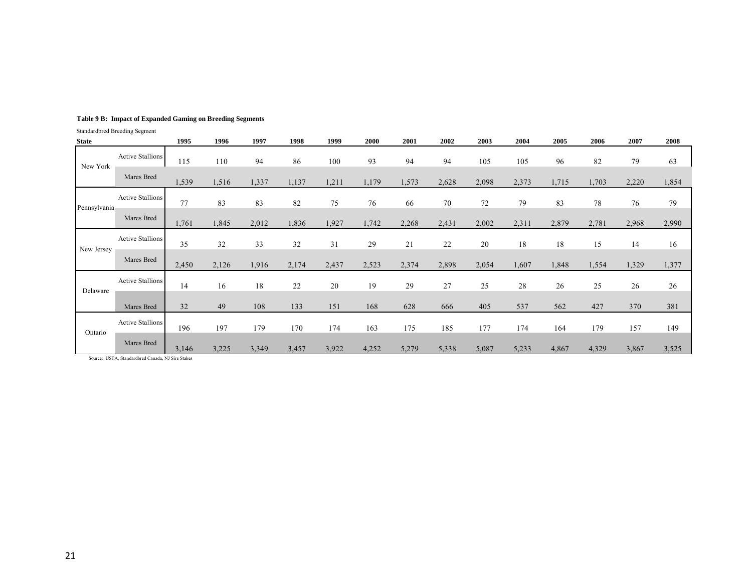|              | Standardbred Breeding Segment |       |       |       |       |       |       |       |       |        |       |       |       |       |       |
|--------------|-------------------------------|-------|-------|-------|-------|-------|-------|-------|-------|--------|-------|-------|-------|-------|-------|
| <b>State</b> |                               | 1995  | 1996  | 1997  | 1998  | 1999  | 2000  | 2001  | 2002  | 2003   | 2004  | 2005  | 2006  | 2007  | 2008  |
| New York     | <b>Active Stallions</b>       | 115   | 110   | 94    | 86    | 100   | 93    | 94    | 94    | 105    | 105   | 96    | 82    | 79    | 63    |
|              | Mares Bred                    | 1,539 | 1,516 | 1,337 | 1,137 | 1,211 | 1,179 | 1,573 | 2,628 | 2,098  | 2,373 | 1,715 | 1,703 | 2,220 | 1,854 |
| Pennsylvania | <b>Active Stallions</b>       | 77    | 83    | 83    | 82    | 75    | 76    | 66    | 70    | $72\,$ | 79    | 83    | 78    | 76    | 79    |
|              | Mares Bred                    | 1,761 | 1,845 | 2,012 | 1,836 | 1,927 | 1,742 | 2,268 | 2,431 | 2,002  | 2,311 | 2,879 | 2,781 | 2,968 | 2,990 |
| New Jersey   | <b>Active Stallions</b>       | 35    | 32    | 33    | 32    | 31    | 29    | 21    | 22    | 20     | 18    | 18    | 15    | 14    | 16    |
|              | Mares Bred                    | 2,450 | 2,126 | 1,916 | 2,174 | 2,437 | 2,523 | 2,374 | 2,898 | 2,054  | 1,607 | 1,848 | 1,554 | 1,329 | 1,377 |
| Delaware     | <b>Active Stallions</b>       | 14    | 16    | 18    | 22    | 20    | 19    | 29    | 27    | 25     | 28    | 26    | 25    | 26    | 26    |
|              | Mares Bred                    | 32    | 49    | 108   | 133   | 151   | 168   | 628   | 666   | 405    | 537   | 562   | 427   | 370   | 381   |
| Ontario      | <b>Active Stallions</b>       | 196   | 197   | 179   | 170   | 174   | 163   | 175   | 185   | 177    | 174   | 164   | 179   | 157   | 149   |
|              | Mares Bred                    | 3,146 | 3,225 | 3,349 | 3,457 | 3,922 | 4,252 | 5,279 | 5,338 | 5,087  | 5,233 | 4,867 | 4,329 | 3,867 | 3,525 |

#### **Table 9 B: Impact of Expanded Gaming on Breeding Segments**

Source: USTA, Standardbred Canada, NJ Sire Stakes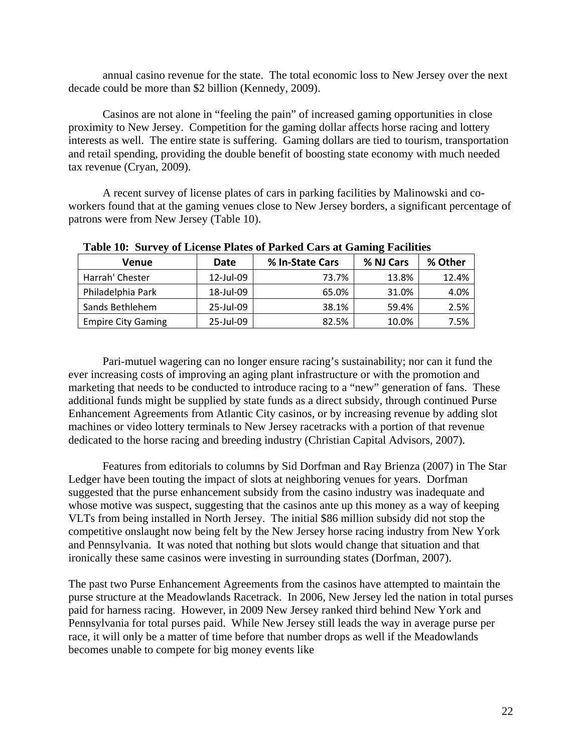annual casino revenue for the state. The total economic loss to New Jersey over the next decade could be more than \$2 billion (Kennedy, 2009).

Casinos are not alone in "feeling the pain" of increased gaming opportunities in close proximity to New Jersey. Competition for the gaming dollar affects horse racing and lottery interests as well. The entire state is suffering. Gaming dollars are tied to tourism, transportation and retail spending, providing the double benefit of boosting state economy with much needed tax revenue (Cryan, 2009).

A recent survey of license plates of cars in parking facilities by Malinowski and coworkers found that at the gaming venues close to New Jersey borders, a significant percentage of patrons were from New Jersey (Table 10).

| Venue                     | Date      | % In-State Cars | % NJ Cars | % Other |
|---------------------------|-----------|-----------------|-----------|---------|
| Harrah' Chester           | 12-Jul-09 | 73.7%           | 13.8%     | 12.4%   |
| Philadelphia Park         | 18-Jul-09 | 65.0%           | 31.0%     | 4.0%    |
| Sands Bethlehem           | 25-Jul-09 | 38.1%           | 59.4%     | 2.5%    |
| <b>Empire City Gaming</b> | 25-Jul-09 | 82.5%           | 10.0%     | 7.5%    |

**Table 10: Survey of License Plates of Parked Cars at Gaming Facilities** 

Pari-mutuel wagering can no longer ensure racing's sustainability; nor can it fund the ever increasing costs of improving an aging plant infrastructure or with the promotion and marketing that needs to be conducted to introduce racing to a "new" generation of fans. These additional funds might be supplied by state funds as a direct subsidy, through continued Purse Enhancement Agreements from Atlantic City casinos, or by increasing revenue by adding slot machines or video lottery terminals to New Jersey racetracks with a portion of that revenue dedicated to the horse racing and breeding industry (Christian Capital Advisors, 2007).

Features from editorials to columns by Sid Dorfman and Ray Brienza (2007) in The Star Ledger have been touting the impact of slots at neighboring venues for years. Dorfman suggested that the purse enhancement subsidy from the casino industry was inadequate and whose motive was suspect, suggesting that the casinos ante up this money as a way of keeping VLTs from being installed in North Jersey. The initial \$86 million subsidy did not stop the competitive onslaught now being felt by the New Jersey horse racing industry from New York and Pennsylvania. It was noted that nothing but slots would change that situation and that ironically these same casinos were investing in surrounding states (Dorfman, 2007).

The past two Purse Enhancement Agreements from the casinos have attempted to maintain the purse structure at the Meadowlands Racetrack. In 2006, New Jersey led the nation in total purses paid for harness racing. However, in 2009 New Jersey ranked third behind New York and Pennsylvania for total purses paid. While New Jersey still leads the way in average purse per race, it will only be a matter of time before that number drops as well if the Meadowlands becomes unable to compete for big money events like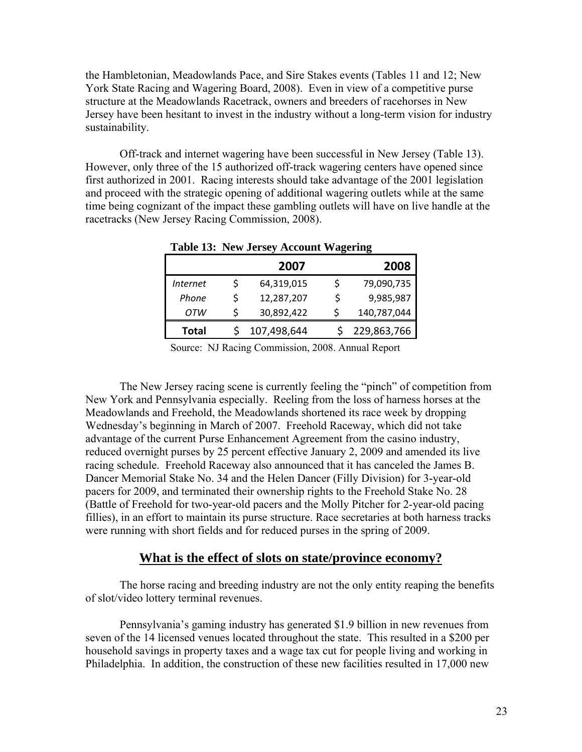the Hambletonian, Meadowlands Pace, and Sire Stakes events (Tables 11 and 12; New York State Racing and Wagering Board, 2008). Even in view of a competitive purse structure at the Meadowlands Racetrack, owners and breeders of racehorses in New Jersey have been hesitant to invest in the industry without a long-term vision for industry sustainability.

Off-track and internet wagering have been successful in New Jersey (Table 13). However, only three of the 15 authorized off-track wagering centers have opened since first authorized in 2001. Racing interests should take advantage of the 2001 legislation and proceed with the strategic opening of additional wagering outlets while at the same time being cognizant of the impact these gambling outlets will have on live handle at the racetracks (New Jersey Racing Commission, 2008).

|          |   | 2007        |    | 2008        |
|----------|---|-------------|----|-------------|
| Internet | Ś | 64,319,015  |    | 79,090,735  |
| Phone    | Ś | 12,287,207  | Ŝ. | 9,985,987   |
| OТW      | Ś | 30,892,422  |    | 140,787,044 |
| Total    |   | 107,498,644 |    | 229,863,766 |

**Table 13: New Jersey Account Wagering** 

Source: NJ Racing Commission, 2008. Annual Report

The New Jersey racing scene is currently feeling the "pinch" of competition from New York and Pennsylvania especially. Reeling from the loss of harness horses at the Meadowlands and Freehold, the Meadowlands shortened its race week by dropping Wednesday's beginning in March of 2007. Freehold Raceway, which did not take advantage of the current Purse Enhancement Agreement from the casino industry, reduced overnight purses by 25 percent effective January 2, 2009 and amended its live racing schedule. Freehold Raceway also announced that it has canceled the James B. Dancer Memorial Stake No. 34 and the Helen Dancer (Filly Division) for 3-year-old pacers for 2009, and terminated their ownership rights to the Freehold Stake No. 28 (Battle of Freehold for two-year-old pacers and the Molly Pitcher for 2-year-old pacing fillies), in an effort to maintain its purse structure. Race secretaries at both harness tracks were running with short fields and for reduced purses in the spring of 2009.

## **What is the effect of slots on state/province economy?**

The horse racing and breeding industry are not the only entity reaping the benefits of slot/video lottery terminal revenues.

Pennsylvania's gaming industry has generated \$1.9 billion in new revenues from seven of the 14 licensed venues located throughout the state. This resulted in a \$200 per household savings in property taxes and a wage tax cut for people living and working in Philadelphia. In addition, the construction of these new facilities resulted in 17,000 new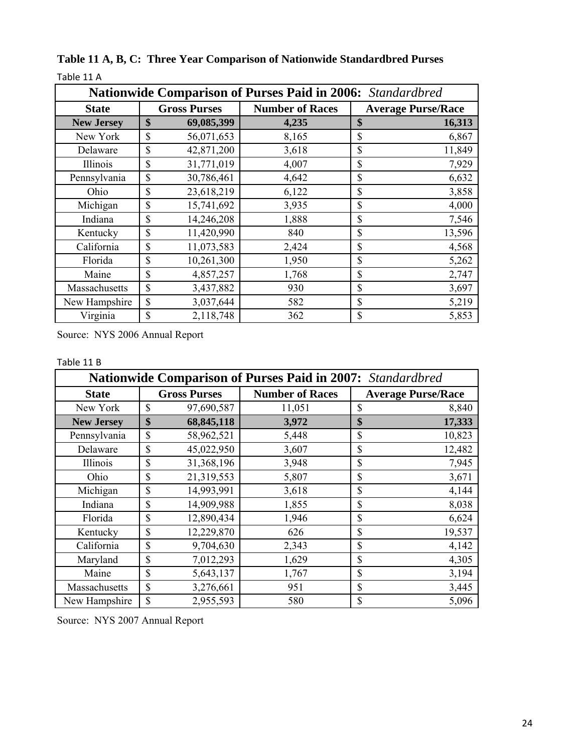| <b>Nationwide Comparison of Purses Paid in 2006:</b> Standardbred |                     |            |                        |    |                           |  |  |
|-------------------------------------------------------------------|---------------------|------------|------------------------|----|---------------------------|--|--|
| <b>State</b>                                                      | <b>Gross Purses</b> |            | <b>Number of Races</b> |    | <b>Average Purse/Race</b> |  |  |
| <b>New Jersey</b>                                                 | \$                  | 69,085,399 | 4,235                  | \$ | 16,313                    |  |  |
| New York                                                          | \$                  | 56,071,653 | 8,165                  | \$ | 6,867                     |  |  |
| Delaware                                                          | \$                  | 42,871,200 | 3,618                  | \$ | 11,849                    |  |  |
| Illinois                                                          | \$                  | 31,771,019 | 4,007                  | \$ | 7,929                     |  |  |
| Pennsylvania                                                      | \$                  | 30,786,461 | 4,642                  | \$ | 6,632                     |  |  |
| Ohio                                                              | \$                  | 23,618,219 | 6,122                  | \$ | 3,858                     |  |  |
| Michigan                                                          | \$                  | 15,741,692 | 3,935                  | \$ | 4,000                     |  |  |
| Indiana                                                           | \$                  | 14,246,208 | 1,888                  | \$ | 7,546                     |  |  |
| Kentucky                                                          | \$                  | 11,420,990 | 840                    | \$ | 13,596                    |  |  |
| California                                                        | \$                  | 11,073,583 | 2,424                  | \$ | 4,568                     |  |  |
| Florida                                                           | \$                  | 10,261,300 | 1,950                  | \$ | 5,262                     |  |  |
| Maine                                                             | \$                  | 4,857,257  | 1,768                  | \$ | 2,747                     |  |  |
| Massachusetts                                                     | \$                  | 3,437,882  | 930                    | \$ | 3,697                     |  |  |
| New Hampshire                                                     | \$                  | 3,037,644  | 582                    | \$ | 5,219                     |  |  |
| Virginia                                                          | \$                  | 2,118,748  | 362                    | \$ | 5,853                     |  |  |

**Table 11 A, B, C: Three Year Comparison of Nationwide Standardbred Purses** Table 11 A

Source: NYS 2006 Annual Report

### Table 11 B

| Nationwide Comparison of Purses Paid in 2007: Standardbred |                     |            |                        |              |                           |  |  |
|------------------------------------------------------------|---------------------|------------|------------------------|--------------|---------------------------|--|--|
| <b>State</b>                                               | <b>Gross Purses</b> |            | <b>Number of Races</b> |              | <b>Average Purse/Race</b> |  |  |
| New York                                                   | $\mathbf S$         | 97,690,587 | 11,051                 | \$           | 8,840                     |  |  |
| <b>New Jersey</b>                                          | \$                  | 68,845,118 | 3,972                  | \$           | 17,333                    |  |  |
| Pennsylvania                                               | \$                  | 58,962,521 | 5,448                  | \$           | 10,823                    |  |  |
| Delaware                                                   | \$                  | 45,022,950 | 3,607                  | \$           | 12,482                    |  |  |
| Illinois                                                   | \$                  | 31,368,196 | 3,948                  | \$           | 7,945                     |  |  |
| Ohio                                                       | \$                  | 21,319,553 | 5,807                  | \$           | 3,671                     |  |  |
| Michigan                                                   | \$                  | 14,993,991 | 3,618                  | \$           | 4,144                     |  |  |
| Indiana                                                    | \$                  | 14,909,988 | 1,855                  | \$           | 8,038                     |  |  |
| Florida                                                    | \$                  | 12,890,434 | 1,946                  | \$           | 6,624                     |  |  |
| Kentucky                                                   | \$                  | 12,229,870 | 626                    | \$           | 19,537                    |  |  |
| California                                                 | \$                  | 9,704,630  | 2,343                  | \$           | 4,142                     |  |  |
| Maryland                                                   | \$                  | 7,012,293  | 1,629                  | \$           | 4,305                     |  |  |
| Maine                                                      | \$                  | 5,643,137  | 1,767                  | \$           | 3,194                     |  |  |
| Massachusetts                                              | \$                  | 3,276,661  | 951                    | \$           | 3,445                     |  |  |
| New Hampshire                                              | \$                  | 2,955,593  | 580                    | $\mathbb{S}$ | 5,096                     |  |  |

Source: NYS 2007 Annual Report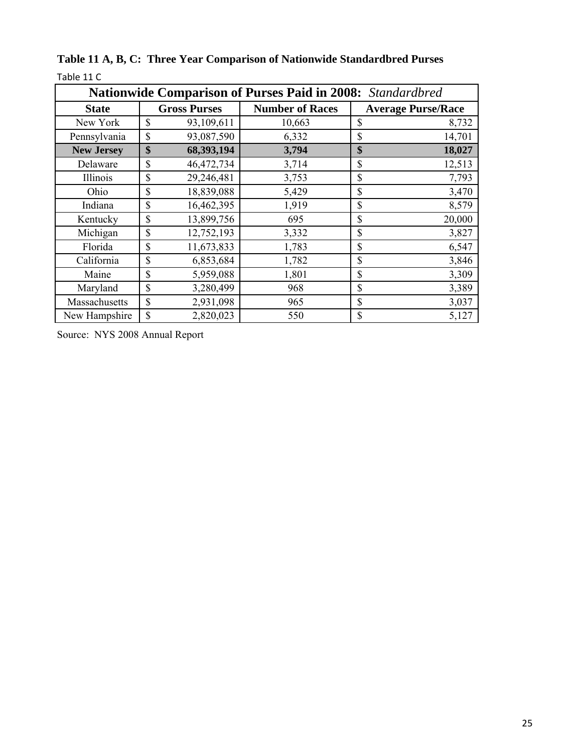| Nationwide Comparison of Purses Paid in 2008: Standardbred |                     |            |                        |             |                           |  |  |
|------------------------------------------------------------|---------------------|------------|------------------------|-------------|---------------------------|--|--|
| <b>State</b>                                               | <b>Gross Purses</b> |            | <b>Number of Races</b> |             | <b>Average Purse/Race</b> |  |  |
| New York                                                   | \$                  | 93,109,611 | 10,663                 | \$          | 8,732                     |  |  |
| Pennsylvania                                               | \$                  | 93,087,590 | 6,332                  | \$          | 14,701                    |  |  |
| <b>New Jersey</b>                                          | \$                  | 68,393,194 | 3,794                  | \$          | 18,027                    |  |  |
| Delaware                                                   | \$                  | 46,472,734 | 3,714                  | \$          | 12,513                    |  |  |
| Illinois                                                   | \$                  | 29,246,481 | 3,753                  | $\mathbf S$ | 7,793                     |  |  |
| Ohio                                                       | \$                  | 18,839,088 | 5,429                  | \$          | 3,470                     |  |  |
| Indiana                                                    | \$                  | 16,462,395 | 1,919                  | \$          | 8,579                     |  |  |
| Kentucky                                                   | \$                  | 13,899,756 | 695                    | \$          | 20,000                    |  |  |
| Michigan                                                   | \$                  | 12,752,193 | 3,332                  | \$          | 3,827                     |  |  |
| Florida                                                    | \$                  | 11,673,833 | 1,783                  | \$          | 6,547                     |  |  |
| California                                                 | \$                  | 6,853,684  | 1,782                  | \$          | 3,846                     |  |  |
| Maine                                                      | \$                  | 5,959,088  | 1,801                  | \$          | 3,309                     |  |  |
| Maryland                                                   | \$                  | 3,280,499  | 968                    | $\mathbf S$ | 3,389                     |  |  |
| Massachusetts                                              | \$                  | 2,931,098  | 965                    | \$          | 3,037                     |  |  |
| New Hampshire                                              | \$                  | 2,820,023  | 550                    | \$          | 5,127                     |  |  |

**Table 11 A, B, C: Three Year Comparison of Nationwide Standardbred Purses** Table 11 C

Source: NYS 2008 Annual Report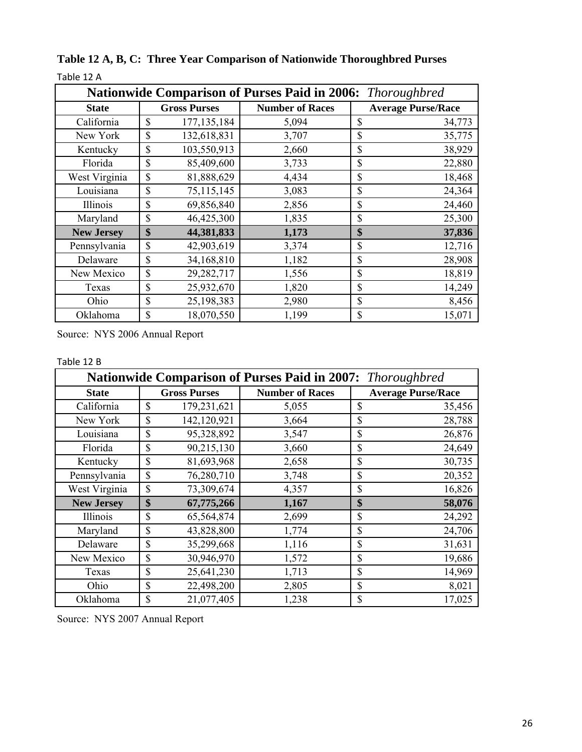| <b>Nationwide Comparison of Purses Paid in 2006:</b> Thoroughbred |                     |               |                        |                           |        |  |  |
|-------------------------------------------------------------------|---------------------|---------------|------------------------|---------------------------|--------|--|--|
| <b>State</b>                                                      | <b>Gross Purses</b> |               | <b>Number of Races</b> | <b>Average Purse/Race</b> |        |  |  |
| California                                                        | \$                  | 177, 135, 184 | 5,094                  | $\mathcal{S}$             | 34,773 |  |  |
| New York                                                          | \$                  | 132,618,831   | 3,707                  | \$                        | 35,775 |  |  |
| Kentucky                                                          | \$                  | 103,550,913   | 2,660                  | \$                        | 38,929 |  |  |
| Florida                                                           | \$                  | 85,409,600    | 3,733                  | $\mathcal{S}$             | 22,880 |  |  |
| West Virginia                                                     | \$                  | 81,888,629    | 4,434                  | $\mathbf S$               | 18,468 |  |  |
| Louisiana                                                         | \$                  | 75,115,145    | 3,083                  | \$                        | 24,364 |  |  |
| Illinois                                                          | \$                  | 69,856,840    | 2,856                  | \$                        | 24,460 |  |  |
| Maryland                                                          | \$                  | 46,425,300    | 1,835                  | \$                        | 25,300 |  |  |
| <b>New Jersey</b>                                                 | \$                  | 44,381,833    | 1,173                  | \$                        | 37,836 |  |  |
| Pennsylvania                                                      | \$                  | 42,903,619    | 3,374                  | \$                        | 12,716 |  |  |
| Delaware                                                          | \$                  | 34,168,810    | 1,182                  | $\mathcal{S}$             | 28,908 |  |  |
| New Mexico                                                        | \$                  | 29,282,717    | 1,556                  | $\mathcal{S}$             | 18,819 |  |  |
| Texas                                                             | \$                  | 25,932,670    | 1,820                  | \$                        | 14,249 |  |  |
| Ohio                                                              | \$                  | 25,198,383    | 2,980                  | \$                        | 8,456  |  |  |
| Oklahoma                                                          | \$                  | 18,070,550    | 1,199                  | \$                        | 15,071 |  |  |

**Table 12 A, B, C: Three Year Comparison of Nationwide Thoroughbred Purses** Table 12 A

Source: NYS 2006 Annual Report

### Table 12 B

| <b>Nationwide Comparison of Purses Paid in 2007:</b> Thoroughbred |                     |             |                        |              |                           |  |
|-------------------------------------------------------------------|---------------------|-------------|------------------------|--------------|---------------------------|--|
| <b>State</b>                                                      | <b>Gross Purses</b> |             | <b>Number of Races</b> |              | <b>Average Purse/Race</b> |  |
| California                                                        | \$                  | 179,231,621 | 5,055                  | \$           | 35,456                    |  |
| New York                                                          | \$                  | 142,120,921 | 3,664                  | \$           | 28,788                    |  |
| Louisiana                                                         | \$                  | 95,328,892  | 3,547                  | \$           | 26,876                    |  |
| Florida                                                           | \$                  | 90,215,130  | 3,660                  | \$           | 24,649                    |  |
| Kentucky                                                          | \$                  | 81,693,968  | 2,658                  | \$           | 30,735                    |  |
| Pennsylvania                                                      | \$                  | 76,280,710  | 3,748                  | \$           | 20,352                    |  |
| West Virginia                                                     | \$                  | 73,309,674  | 4,357                  | \$           | 16,826                    |  |
| <b>New Jersey</b>                                                 | \$                  | 67,775,266  | 1,167                  | \$           | 58,076                    |  |
| Illinois                                                          | \$                  | 65,564,874  | 2,699                  | \$           | 24,292                    |  |
| Maryland                                                          | \$                  | 43,828,800  | 1,774                  | \$           | 24,706                    |  |
| Delaware                                                          | \$                  | 35,299,668  | 1,116                  | \$           | 31,631                    |  |
| New Mexico                                                        | \$                  | 30,946,970  | 1,572                  | \$           | 19,686                    |  |
| Texas                                                             | \$                  | 25,641,230  | 1,713                  | \$           | 14,969                    |  |
| Ohio                                                              | \$                  | 22,498,200  | 2,805                  | \$           | 8,021                     |  |
| Oklahoma                                                          | \$                  | 21,077,405  | 1,238                  | $\mathbb{S}$ | 17,025                    |  |

Source: NYS 2007 Annual Report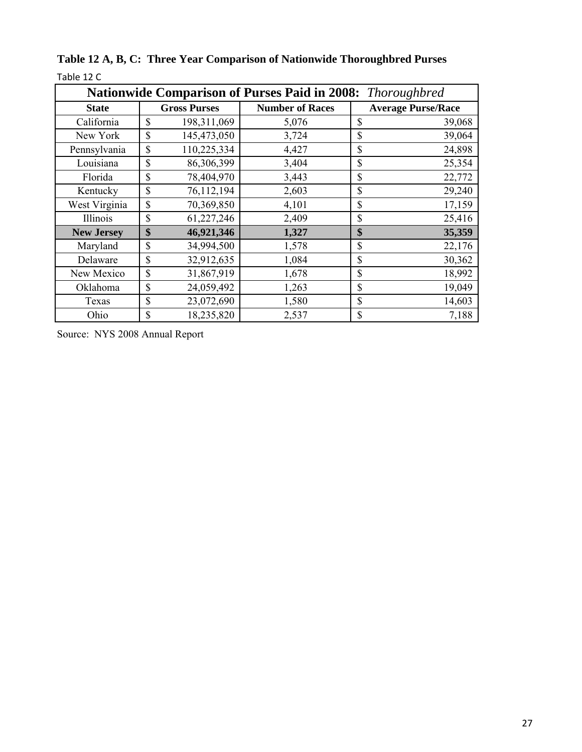| <b>Nationwide Comparison of Purses Paid in 2008:</b> Thoroughbred |                     |               |                        |               |                           |  |  |
|-------------------------------------------------------------------|---------------------|---------------|------------------------|---------------|---------------------------|--|--|
| <b>State</b>                                                      | <b>Gross Purses</b> |               | <b>Number of Races</b> |               | <b>Average Purse/Race</b> |  |  |
| California                                                        | \$                  | 198, 311, 069 | 5,076                  | $\mathcal{S}$ | 39,068                    |  |  |
| New York                                                          | \$                  | 145,473,050   | 3,724                  | \$            | 39,064                    |  |  |
| Pennsylvania                                                      | \$                  | 110,225,334   | 4,427                  | \$            | 24,898                    |  |  |
| Louisiana                                                         | \$                  | 86,306,399    | 3,404                  | \$            | 25,354                    |  |  |
| Florida                                                           | \$                  | 78,404,970    | 3,443                  | \$            | 22,772                    |  |  |
| Kentucky                                                          | \$                  | 76,112,194    | 2,603                  | \$            | 29,240                    |  |  |
| West Virginia                                                     | \$                  | 70,369,850    | 4,101                  | \$            | 17,159                    |  |  |
| Illinois                                                          | \$                  | 61,227,246    | 2,409                  | \$            | 25,416                    |  |  |
| <b>New Jersey</b>                                                 | \$                  | 46,921,346    | 1,327                  | \$            | 35,359                    |  |  |
| Maryland                                                          | \$                  | 34,994,500    | 1,578                  | \$            | 22,176                    |  |  |
| Delaware                                                          | \$                  | 32,912,635    | 1,084                  | $\mathcal{S}$ | 30,362                    |  |  |
| New Mexico                                                        | \$                  | 31,867,919    | 1,678                  | \$            | 18,992                    |  |  |
| Oklahoma                                                          | \$                  | 24,059,492    | 1,263                  | \$            | 19,049                    |  |  |
| Texas                                                             | $\mathbb{S}$        | 23,072,690    | 1,580                  | $\mathbb{S}$  | 14,603                    |  |  |
| Ohio                                                              | $\mathbb{S}$        | 18,235,820    | 2,537                  | \$            | 7,188                     |  |  |

**Table 12 A, B, C: Three Year Comparison of Nationwide Thoroughbred Purses** Table 12 C

Source: NYS 2008 Annual Report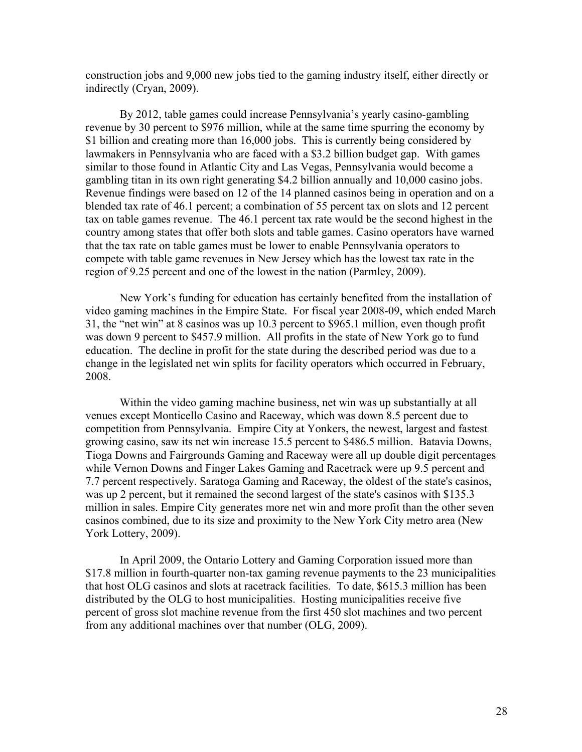construction jobs and 9,000 new jobs tied to the gaming industry itself, either directly or indirectly (Cryan, 2009).

By 2012, table games could increase Pennsylvania's yearly casino-gambling revenue by 30 percent to \$976 million, while at the same time spurring the economy by \$1 billion and creating more than 16,000 jobs. This is currently being considered by lawmakers in Pennsylvania who are faced with a \$3.2 billion budget gap. With games similar to those found in Atlantic City and Las Vegas, Pennsylvania would become a gambling titan in its own right generating \$4.2 billion annually and 10,000 casino jobs. Revenue findings were based on 12 of the 14 planned casinos being in operation and on a blended tax rate of 46.1 percent; a combination of 55 percent tax on slots and 12 percent tax on table games revenue. The 46.1 percent tax rate would be the second highest in the country among states that offer both slots and table games. Casino operators have warned that the tax rate on table games must be lower to enable Pennsylvania operators to compete with table game revenues in New Jersey which has the lowest tax rate in the region of 9.25 percent and one of the lowest in the nation (Parmley, 2009).

New York's funding for education has certainly benefited from the installation of video gaming machines in the Empire State. For fiscal year 2008-09, which ended March 31, the "net win" at 8 casinos was up 10.3 percent to \$965.1 million, even though profit was down 9 percent to \$457.9 million. All profits in the state of New York go to fund education. The decline in profit for the state during the described period was due to a change in the legislated net win splits for facility operators which occurred in February, 2008.

Within the video gaming machine business, net win was up substantially at all venues except Monticello Casino and Raceway, which was down 8.5 percent due to competition from Pennsylvania. Empire City at Yonkers, the newest, largest and fastest growing casino, saw its net win increase 15.5 percent to \$486.5 million. Batavia Downs, Tioga Downs and Fairgrounds Gaming and Raceway were all up double digit percentages while Vernon Downs and Finger Lakes Gaming and Racetrack were up 9.5 percent and 7.7 percent respectively. Saratoga Gaming and Raceway, the oldest of the state's casinos, was up 2 percent, but it remained the second largest of the state's casinos with \$135.3 million in sales. Empire City generates more net win and more profit than the other seven casinos combined, due to its size and proximity to the New York City metro area (New York Lottery, 2009).

In April 2009, the Ontario Lottery and Gaming Corporation issued more than \$17.8 million in fourth-quarter non-tax gaming revenue payments to the 23 municipalities that host OLG casinos and slots at racetrack facilities. To date, \$615.3 million has been distributed by the OLG to host municipalities. Hosting municipalities receive five percent of gross slot machine revenue from the first 450 slot machines and two percent from any additional machines over that number (OLG, 2009).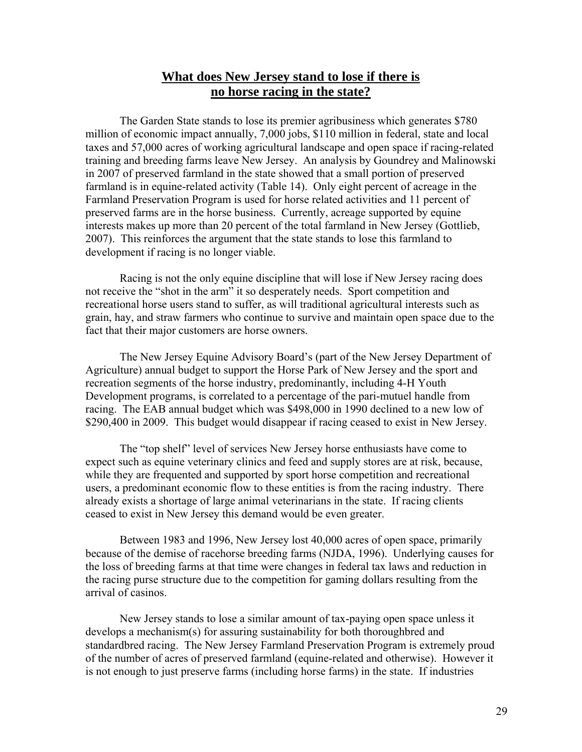# **What does New Jersey stand to lose if there is no horse racing in the state?**

The Garden State stands to lose its premier agribusiness which generates \$780 million of economic impact annually, 7,000 jobs, \$110 million in federal, state and local taxes and 57,000 acres of working agricultural landscape and open space if racing-related training and breeding farms leave New Jersey. An analysis by Goundrey and Malinowski in 2007 of preserved farmland in the state showed that a small portion of preserved farmland is in equine-related activity (Table 14). Only eight percent of acreage in the Farmland Preservation Program is used for horse related activities and 11 percent of preserved farms are in the horse business. Currently, acreage supported by equine interests makes up more than 20 percent of the total farmland in New Jersey (Gottlieb, 2007). This reinforces the argument that the state stands to lose this farmland to development if racing is no longer viable.

Racing is not the only equine discipline that will lose if New Jersey racing does not receive the "shot in the arm" it so desperately needs. Sport competition and recreational horse users stand to suffer, as will traditional agricultural interests such as grain, hay, and straw farmers who continue to survive and maintain open space due to the fact that their major customers are horse owners.

The New Jersey Equine Advisory Board's (part of the New Jersey Department of Agriculture) annual budget to support the Horse Park of New Jersey and the sport and recreation segments of the horse industry, predominantly, including 4-H Youth Development programs, is correlated to a percentage of the pari-mutuel handle from racing. The EAB annual budget which was \$498,000 in 1990 declined to a new low of \$290,400 in 2009. This budget would disappear if racing ceased to exist in New Jersey.

The "top shelf" level of services New Jersey horse enthusiasts have come to expect such as equine veterinary clinics and feed and supply stores are at risk, because, while they are frequented and supported by sport horse competition and recreational users, a predominant economic flow to these entities is from the racing industry. There already exists a shortage of large animal veterinarians in the state. If racing clients ceased to exist in New Jersey this demand would be even greater.

Between 1983 and 1996, New Jersey lost 40,000 acres of open space, primarily because of the demise of racehorse breeding farms (NJDA, 1996). Underlying causes for the loss of breeding farms at that time were changes in federal tax laws and reduction in the racing purse structure due to the competition for gaming dollars resulting from the arrival of casinos.

New Jersey stands to lose a similar amount of tax-paying open space unless it develops a mechanism(s) for assuring sustainability for both thoroughbred and standardbred racing. The New Jersey Farmland Preservation Program is extremely proud of the number of acres of preserved farmland (equine-related and otherwise). However it is not enough to just preserve farms (including horse farms) in the state. If industries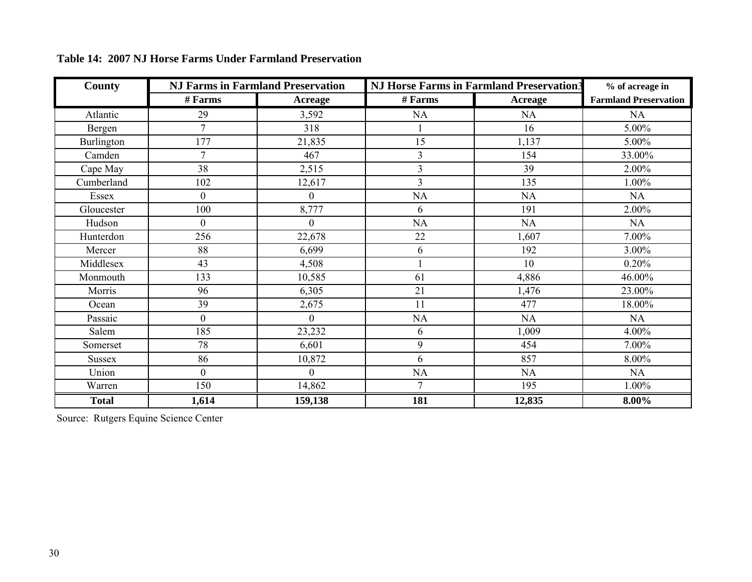| <b>County</b> |                  | <b>NJ Farms in Farmland Preservation</b> | <b>NJ Horse Farms in Farmland Preservation3</b> | % of acreage in |                              |
|---------------|------------------|------------------------------------------|-------------------------------------------------|-----------------|------------------------------|
|               | # Farms          | Acreage                                  | # Farms                                         | <b>Acreage</b>  | <b>Farmland Preservation</b> |
| Atlantic      | 29               | 3,592                                    | NA                                              | <b>NA</b>       | NA                           |
| Bergen        | $\overline{7}$   | 318                                      |                                                 | 16              | 5.00%                        |
| Burlington    | 177              | 21,835                                   | 15                                              | 1,137           | 5.00%                        |
| Camden        | 7                | 467                                      | $\overline{3}$                                  | 154             | 33.00%                       |
| Cape May      | 38               | 2,515                                    | 3                                               | 39              | 2.00%                        |
| Cumberland    | 102              | 12,617                                   | $\overline{3}$                                  | 135             | 1.00%                        |
| Essex         | $\overline{0}$   | $\overline{0}$                           | <b>NA</b>                                       | NA              | NA                           |
| Gloucester    | 100              | 8,777                                    | 6                                               | 191             | 2.00%                        |
| Hudson        | $\boldsymbol{0}$ | $\overline{0}$                           | <b>NA</b>                                       | NA              | NA                           |
| Hunterdon     | 256              | 22,678                                   | 22                                              | 1,607           | 7.00%                        |
| Mercer        | 88               | 6,699                                    | 6                                               | 192             | 3.00%                        |
| Middlesex     | 43               | 4,508                                    |                                                 | 10              | 0.20%                        |
| Monmouth      | 133              | 10,585                                   | 61                                              | 4,886           | 46.00%                       |
| Morris        | 96               | 6,305                                    | 21                                              | 1,476           | 23.00%                       |
| Ocean         | 39               | 2,675                                    | 11                                              | 477             | 18.00%                       |
| Passaic       | $\overline{0}$   | $\theta$                                 | <b>NA</b>                                       | NA              | NA                           |
| Salem         | 185              | 23,232                                   | 6                                               | 1,009           | 4.00%                        |
| Somerset      | 78               | 6,601                                    | 9                                               | 454             | 7.00%                        |
| <b>Sussex</b> | 86               | 10,872                                   | 6                                               | 857             | 8.00%                        |
| Union         | $\overline{0}$   | $\theta$                                 | NA                                              | NA              | NA                           |
| Warren        | 150              | 14,862                                   | $\tau$                                          | 195             | 1.00%                        |
| <b>Total</b>  | 1,614            | 159,138                                  | 181                                             | 12,835          | $8.00\%$                     |

**Table 14: 2007 NJ Horse Farms Under Farmland Preservation**

Source: Rutgers Equine Science Center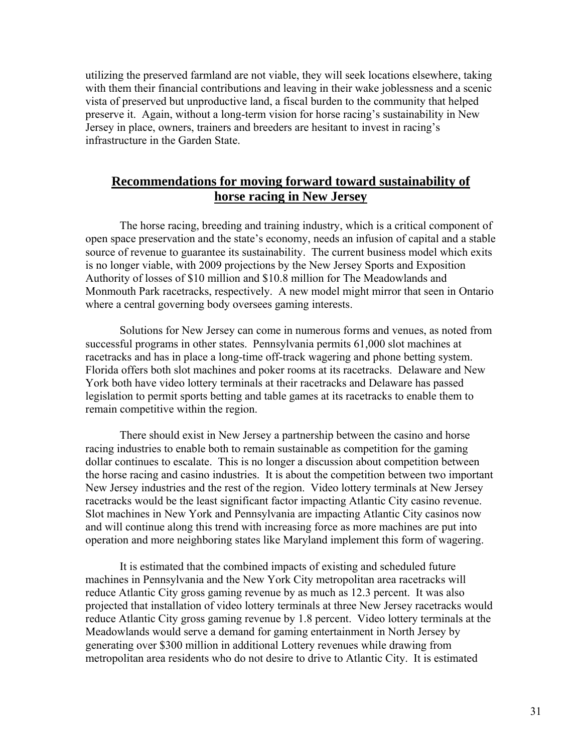utilizing the preserved farmland are not viable, they will seek locations elsewhere, taking with them their financial contributions and leaving in their wake joblessness and a scenic vista of preserved but unproductive land, a fiscal burden to the community that helped preserve it. Again, without a long-term vision for horse racing's sustainability in New Jersey in place, owners, trainers and breeders are hesitant to invest in racing's infrastructure in the Garden State.

## **Recommendations for moving forward toward sustainability of horse racing in New Jersey**

The horse racing, breeding and training industry, which is a critical component of open space preservation and the state's economy, needs an infusion of capital and a stable source of revenue to guarantee its sustainability. The current business model which exits is no longer viable, with 2009 projections by the New Jersey Sports and Exposition Authority of losses of \$10 million and \$10.8 million for The Meadowlands and Monmouth Park racetracks, respectively. A new model might mirror that seen in Ontario where a central governing body oversees gaming interests.

Solutions for New Jersey can come in numerous forms and venues, as noted from successful programs in other states. Pennsylvania permits 61,000 slot machines at racetracks and has in place a long-time off-track wagering and phone betting system. Florida offers both slot machines and poker rooms at its racetracks. Delaware and New York both have video lottery terminals at their racetracks and Delaware has passed legislation to permit sports betting and table games at its racetracks to enable them to remain competitive within the region.

There should exist in New Jersey a partnership between the casino and horse racing industries to enable both to remain sustainable as competition for the gaming dollar continues to escalate. This is no longer a discussion about competition between the horse racing and casino industries. It is about the competition between two important New Jersey industries and the rest of the region. Video lottery terminals at New Jersey racetracks would be the least significant factor impacting Atlantic City casino revenue. Slot machines in New York and Pennsylvania are impacting Atlantic City casinos now and will continue along this trend with increasing force as more machines are put into operation and more neighboring states like Maryland implement this form of wagering.

It is estimated that the combined impacts of existing and scheduled future machines in Pennsylvania and the New York City metropolitan area racetracks will reduce Atlantic City gross gaming revenue by as much as 12.3 percent. It was also projected that installation of video lottery terminals at three New Jersey racetracks would reduce Atlantic City gross gaming revenue by 1.8 percent. Video lottery terminals at the Meadowlands would serve a demand for gaming entertainment in North Jersey by generating over \$300 million in additional Lottery revenues while drawing from metropolitan area residents who do not desire to drive to Atlantic City. It is estimated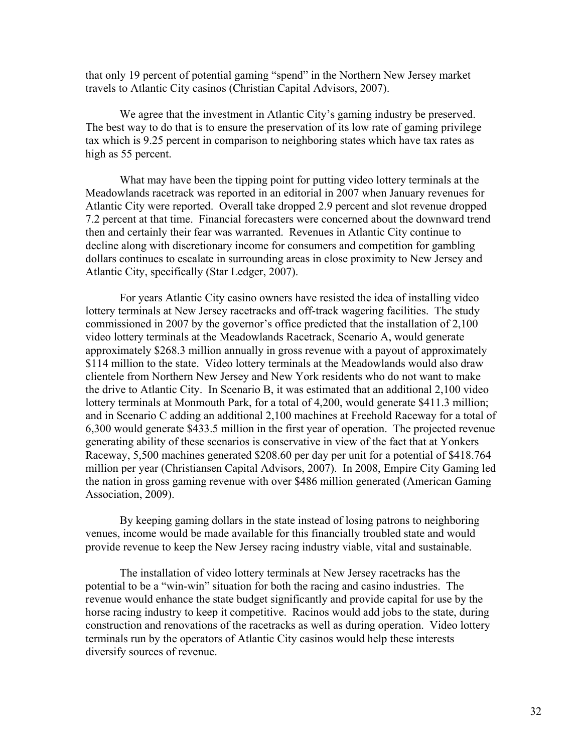that only 19 percent of potential gaming "spend" in the Northern New Jersey market travels to Atlantic City casinos (Christian Capital Advisors, 2007).

We agree that the investment in Atlantic City's gaming industry be preserved. The best way to do that is to ensure the preservation of its low rate of gaming privilege tax which is 9.25 percent in comparison to neighboring states which have tax rates as high as 55 percent.

What may have been the tipping point for putting video lottery terminals at the Meadowlands racetrack was reported in an editorial in 2007 when January revenues for Atlantic City were reported. Overall take dropped 2.9 percent and slot revenue dropped 7.2 percent at that time. Financial forecasters were concerned about the downward trend then and certainly their fear was warranted. Revenues in Atlantic City continue to decline along with discretionary income for consumers and competition for gambling dollars continues to escalate in surrounding areas in close proximity to New Jersey and Atlantic City, specifically (Star Ledger, 2007).

For years Atlantic City casino owners have resisted the idea of installing video lottery terminals at New Jersey racetracks and off-track wagering facilities. The study commissioned in 2007 by the governor's office predicted that the installation of 2,100 video lottery terminals at the Meadowlands Racetrack, Scenario A, would generate approximately \$268.3 million annually in gross revenue with a payout of approximately \$114 million to the state. Video lottery terminals at the Meadowlands would also draw clientele from Northern New Jersey and New York residents who do not want to make the drive to Atlantic City. In Scenario B, it was estimated that an additional 2,100 video lottery terminals at Monmouth Park, for a total of 4,200, would generate \$411.3 million; and in Scenario C adding an additional 2,100 machines at Freehold Raceway for a total of 6,300 would generate \$433.5 million in the first year of operation. The projected revenue generating ability of these scenarios is conservative in view of the fact that at Yonkers Raceway, 5,500 machines generated \$208.60 per day per unit for a potential of \$418.764 million per year (Christiansen Capital Advisors, 2007). In 2008, Empire City Gaming led the nation in gross gaming revenue with over \$486 million generated (American Gaming Association, 2009).

By keeping gaming dollars in the state instead of losing patrons to neighboring venues, income would be made available for this financially troubled state and would provide revenue to keep the New Jersey racing industry viable, vital and sustainable.

The installation of video lottery terminals at New Jersey racetracks has the potential to be a "win-win" situation for both the racing and casino industries. The revenue would enhance the state budget significantly and provide capital for use by the horse racing industry to keep it competitive. Racinos would add jobs to the state, during construction and renovations of the racetracks as well as during operation. Video lottery terminals run by the operators of Atlantic City casinos would help these interests diversify sources of revenue.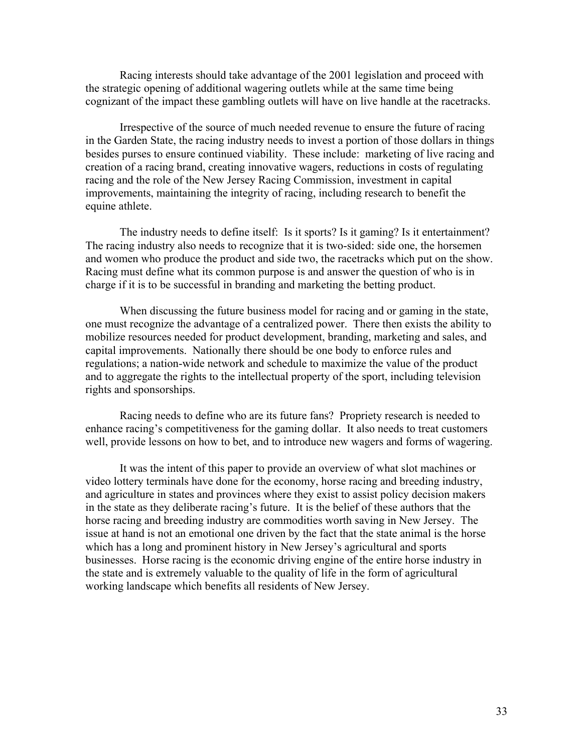Racing interests should take advantage of the 2001 legislation and proceed with the strategic opening of additional wagering outlets while at the same time being cognizant of the impact these gambling outlets will have on live handle at the racetracks.

Irrespective of the source of much needed revenue to ensure the future of racing in the Garden State, the racing industry needs to invest a portion of those dollars in things besides purses to ensure continued viability. These include: marketing of live racing and creation of a racing brand, creating innovative wagers, reductions in costs of regulating racing and the role of the New Jersey Racing Commission, investment in capital improvements, maintaining the integrity of racing, including research to benefit the equine athlete.

The industry needs to define itself: Is it sports? Is it gaming? Is it entertainment? The racing industry also needs to recognize that it is two-sided: side one, the horsemen and women who produce the product and side two, the racetracks which put on the show. Racing must define what its common purpose is and answer the question of who is in charge if it is to be successful in branding and marketing the betting product.

When discussing the future business model for racing and or gaming in the state, one must recognize the advantage of a centralized power. There then exists the ability to mobilize resources needed for product development, branding, marketing and sales, and capital improvements. Nationally there should be one body to enforce rules and regulations; a nation-wide network and schedule to maximize the value of the product and to aggregate the rights to the intellectual property of the sport, including television rights and sponsorships.

Racing needs to define who are its future fans? Propriety research is needed to enhance racing's competitiveness for the gaming dollar. It also needs to treat customers well, provide lessons on how to bet, and to introduce new wagers and forms of wagering.

It was the intent of this paper to provide an overview of what slot machines or video lottery terminals have done for the economy, horse racing and breeding industry, and agriculture in states and provinces where they exist to assist policy decision makers in the state as they deliberate racing's future. It is the belief of these authors that the horse racing and breeding industry are commodities worth saving in New Jersey. The issue at hand is not an emotional one driven by the fact that the state animal is the horse which has a long and prominent history in New Jersey's agricultural and sports businesses. Horse racing is the economic driving engine of the entire horse industry in the state and is extremely valuable to the quality of life in the form of agricultural working landscape which benefits all residents of New Jersey.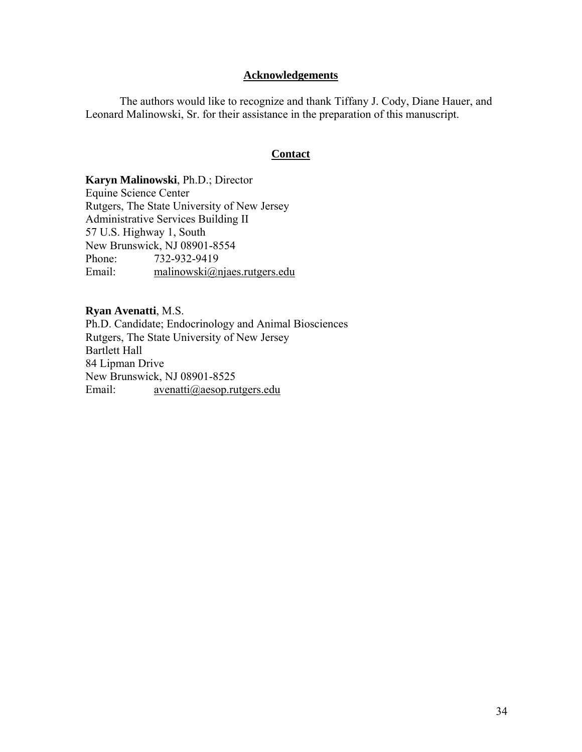## **Acknowledgements**

 The authors would like to recognize and thank Tiffany J. Cody, Diane Hauer, and Leonard Malinowski, Sr. for their assistance in the preparation of this manuscript.

## **Contact**

**Karyn Malinowski**, Ph.D.; Director Equine Science Center Rutgers, The State University of New Jersey Administrative Services Building II 57 U.S. Highway 1, South New Brunswick, NJ 08901-8554 Phone: 732-932-9419 Email: malinowski@njaes.rutgers.edu

**Ryan Avenatti**, M.S. Ph.D. Candidate; Endocrinology and Animal Biosciences Rutgers, The State University of New Jersey Bartlett Hall 84 Lipman Drive New Brunswick, NJ 08901-8525 Email: avenatti@aesop.rutgers.edu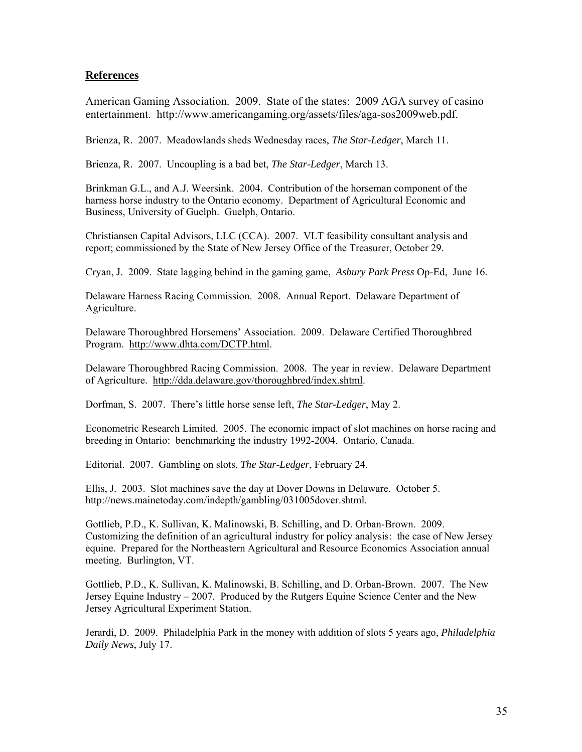## **References**

American Gaming Association. 2009. State of the states: 2009 AGA survey of casino entertainment. http://www.americangaming.org/assets/files/aga-sos2009web.pdf.

Brienza, R. 2007. Meadowlands sheds Wednesday races, *The Star-Ledger*, March 11.

Brienza, R. 2007. Uncoupling is a bad bet, *The Star-Ledger*, March 13.

Brinkman G.L., and A.J. Weersink. 2004. Contribution of the horseman component of the harness horse industry to the Ontario economy. Department of Agricultural Economic and Business, University of Guelph. Guelph, Ontario.

Christiansen Capital Advisors, LLC (CCA). 2007. VLT feasibility consultant analysis and report; commissioned by the State of New Jersey Office of the Treasurer, October 29.

Cryan, J. 2009. State lagging behind in the gaming game, *Asbury Park Press* Op-Ed, June 16.

Delaware Harness Racing Commission. 2008. Annual Report. Delaware Department of Agriculture.

Delaware Thoroughbred Horsemens' Association. 2009. Delaware Certified Thoroughbred Program. http://www.dhta.com/DCTP.html.

Delaware Thoroughbred Racing Commission. 2008. The year in review. Delaware Department of Agriculture. http://dda.delaware.gov/thoroughbred/index.shtml.

Dorfman, S. 2007. There's little horse sense left, *The Star-Ledger*, May 2.

Econometric Research Limited. 2005. The economic impact of slot machines on horse racing and breeding in Ontario: benchmarking the industry 1992-2004. Ontario, Canada.

Editorial. 2007. Gambling on slots, *The Star-Ledger*, February 24.

Ellis, J. 2003. Slot machines save the day at Dover Downs in Delaware. October 5. http://news.mainetoday.com/indepth/gambling/031005dover.shtml.

Gottlieb, P.D., K. Sullivan, K. Malinowski, B. Schilling, and D. Orban-Brown. 2009. Customizing the definition of an agricultural industry for policy analysis: the case of New Jersey equine. Prepared for the Northeastern Agricultural and Resource Economics Association annual meeting. Burlington, VT.

Gottlieb, P.D., K. Sullivan, K. Malinowski, B. Schilling, and D. Orban-Brown. 2007. The New Jersey Equine Industry – 2007. Produced by the Rutgers Equine Science Center and the New Jersey Agricultural Experiment Station.

Jerardi, D. 2009. Philadelphia Park in the money with addition of slots 5 years ago, *Philadelphia Daily News*, July 17.